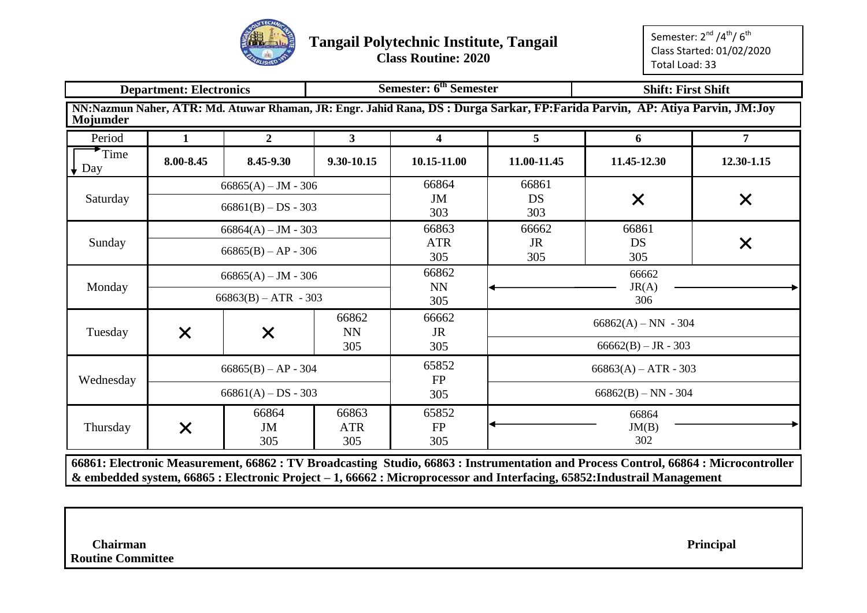

**Class Routine: 2020**

Semester: 2<sup>nd</sup> /4<sup>th</sup>/ 6<sup>th</sup> Class Started: 01/02/2020 Total Load: 33

|             | <b>Department: Electronics</b> |                        |                            | Semester: 6 <sup>th</sup> Semester |                             | <b>Shift: First Shift</b>                                                                                                   |                |  |  |  |
|-------------|--------------------------------|------------------------|----------------------------|------------------------------------|-----------------------------|-----------------------------------------------------------------------------------------------------------------------------|----------------|--|--|--|
| Mojumder    |                                |                        |                            |                                    |                             | NN:Nazmun Naher, ATR: Md. Atuwar Rhaman, JR: Engr. Jahid Rana, DS: Durga Sarkar, FP:Farida Parvin, AP: Atiya Parvin, JM:Joy |                |  |  |  |
| Period      | $\mathbf{1}$                   | $\overline{2}$         | $3^{\circ}$                | $\overline{\mathbf{4}}$            | 5 <sup>1</sup>              | 6                                                                                                                           | $\overline{7}$ |  |  |  |
| Time<br>Day | 8.00-8.45                      | 8.45-9.30              | 9.30-10.15                 | 10.15-11.00                        | 11.00-11.45                 | 11.45-12.30                                                                                                                 | 12.30-1.15     |  |  |  |
|             |                                | $66865(A) - JM - 306$  |                            | 66864                              | 66861                       |                                                                                                                             |                |  |  |  |
| Saturday    |                                | $66861(B) - DS - 303$  |                            | JM<br>303                          | <b>DS</b><br>303            | X                                                                                                                           | X              |  |  |  |
|             | 66861                          |                        |                            |                                    |                             |                                                                                                                             |                |  |  |  |
| Sunday      |                                | $66865(B) - AP - 306$  |                            | <b>ATR</b><br>305                  | JR<br>DS<br>X<br>305<br>305 |                                                                                                                             |                |  |  |  |
|             |                                | $66865(A) - JM - 306$  |                            | 66862                              | 66662                       |                                                                                                                             |                |  |  |  |
| Monday      |                                | $66863(B) - ATR - 303$ |                            | NN<br>305                          |                             | JR(A)<br>306                                                                                                                |                |  |  |  |
|             |                                |                        | 66862<br><b>NN</b>         | 66662<br><b>JR</b>                 |                             | $66862(A) - NN - 304$                                                                                                       |                |  |  |  |
| Tuesday     | $\times$                       | $\times$               | 305                        | 305                                |                             | $66662(B) - JR - 303$                                                                                                       |                |  |  |  |
| Wednesday   |                                | $66865(B) - AP - 304$  |                            | 65852<br><b>FP</b>                 |                             | $66863(A) - ATR - 303$                                                                                                      |                |  |  |  |
|             |                                | $66861(A) - DS - 303$  |                            | 305                                | $66862(B) - NN - 304$       |                                                                                                                             |                |  |  |  |
| Thursday    | $\times$                       | 66864<br>JM<br>305     | 66863<br><b>ATR</b><br>305 | 65852<br>${\rm FP}$<br>305         | 66864<br>JM(B)<br>302       |                                                                                                                             |                |  |  |  |

**& embedded system, 66865 : Electronic Project – 1, 66662 : Microprocessor and Interfacing, 65852:Industrail Management**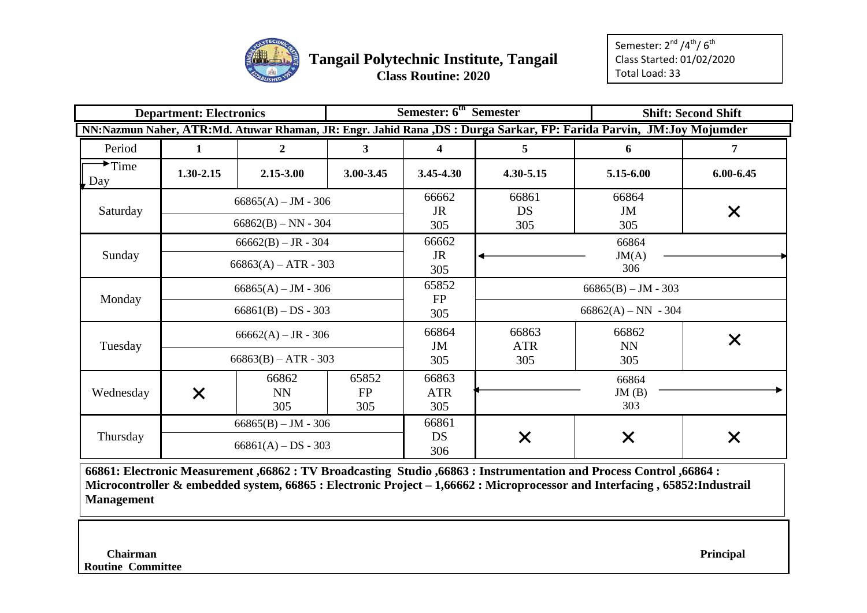

|                                         | <b>Department: Electronics</b> |                                                 |                           | Semester: 6 <sup>th</sup> Semester |                            |                                                                                                                    | <b>Shift: Second Shift</b> |  |  |  |  |
|-----------------------------------------|--------------------------------|-------------------------------------------------|---------------------------|------------------------------------|----------------------------|--------------------------------------------------------------------------------------------------------------------|----------------------------|--|--|--|--|
|                                         |                                |                                                 |                           |                                    |                            | NN:Nazmun Naher, ATR:Md. Atuwar Rhaman, JR: Engr. Jahid Rana ,DS: Durga Sarkar, FP: Farida Parvin, JM:Joy Mojumder |                            |  |  |  |  |
| Period                                  | 1                              | 2                                               | 3 <sup>1</sup>            | 4                                  | 5                          | 6                                                                                                                  | 7                          |  |  |  |  |
| $\overline{\triangleright}$ Time<br>Day | $1.30 - 2.15$                  | 2.15-3.00                                       | 3.00-3.45                 | 3.45-4.30                          | 4.30-5.15                  | 5.15-6.00                                                                                                          | $6.00 - 6.45$              |  |  |  |  |
| Saturday                                |                                | $66865(A) - JM - 306$<br>$66862(B) - NN - 304$  |                           | 66662<br><b>JR</b><br>305          | 66861<br>DS<br>305         | 66864<br>JM<br>305                                                                                                 | X                          |  |  |  |  |
| Sunday                                  |                                | $66662(B) - JR - 304$<br>$66863(A) - ATR - 303$ |                           | 66662<br><b>JR</b><br>305          |                            |                                                                                                                    |                            |  |  |  |  |
| Monday                                  |                                | $66865(A) - JM - 306$<br>$66861(B) - DS - 303$  |                           | 65852<br>FP                        |                            | $66865(B) - JM - 303$<br>$66862(A) - NN - 304$                                                                     |                            |  |  |  |  |
| Tuesday                                 |                                | $66662(A) - JR - 306$<br>$66863(B) - ATR - 303$ |                           | 305<br>66864<br>JM<br>305          | 66863<br><b>ATR</b><br>305 | 66862<br><b>NN</b><br>305                                                                                          |                            |  |  |  |  |
| Wednesday                               | $\bm{\mathsf{X}}$              | 66862<br><b>NN</b><br>305                       | 65852<br><b>FP</b><br>305 | 66863<br><b>ATR</b><br>305         | 66864<br>JM(B)<br>303      |                                                                                                                    |                            |  |  |  |  |
| Thursday                                |                                | $66865(B) - JM - 306$<br>$66861(A) - DS - 303$  |                           | 66861<br>DS<br>306                 | X                          | X                                                                                                                  |                            |  |  |  |  |

**66861: Electronic Measurement ,66862 : TV Broadcasting Studio ,66863 : Instrumentation and Process Control ,66864 : Microcontroller & embedded system, 66865 : Electronic Project – 1,66662 : Microprocessor and Interfacing , 65852:Industrail Management**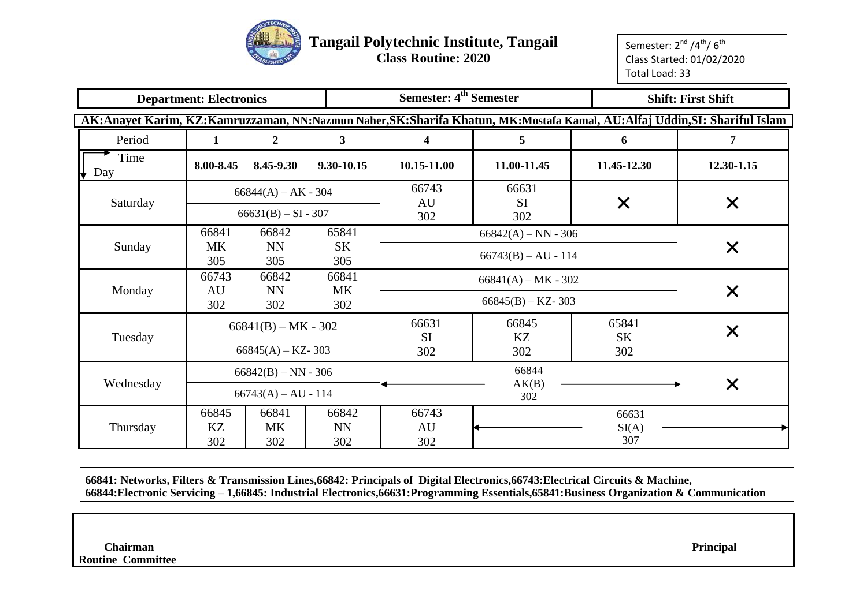

**Class Routine: 2020**

Semester: 2<sup>nd</sup> /4<sup>th</sup>/ 6<sup>th</sup> Class Started: 01/02/2020 Total Load: 33

|                  | <b>Department: Electronics</b>                                      |                                                |                           | <b>Semester: 4th Semester</b>                      |                                                |                           | <b>Shift: First Shift</b>                                                                                               |  |
|------------------|---------------------------------------------------------------------|------------------------------------------------|---------------------------|----------------------------------------------------|------------------------------------------------|---------------------------|-------------------------------------------------------------------------------------------------------------------------|--|
|                  |                                                                     |                                                |                           |                                                    |                                                |                           | AK:Anayet Karim, KZ:Kamruzzaman, NN:Nazmun Naher,SK:Sharifa Khatun, MK:Mostafa Kamal, AU:Alfaj Uddin,SI: Shariful Islam |  |
| Period           | $\mathbf{1}$                                                        | $\overline{2}$                                 | $\mathbf{3}$              | 4                                                  | 5                                              | 6                         | 7                                                                                                                       |  |
| Time<br>Day<br>⊮ | 8.00-8.45                                                           | 8.45-9.30                                      | 9.30-10.15                | 10.15-11.00                                        | 11.00-11.45                                    | 11.45-12.30               | 12.30-1.15                                                                                                              |  |
|                  |                                                                     | $66844(A) - AK - 304$                          |                           | 66743<br>AU                                        | 66631<br><b>SI</b>                             |                           |                                                                                                                         |  |
| Saturday         |                                                                     | $66631(B) - SI - 307$                          |                           | 302                                                | 302                                            | $\times$                  | $\bm{\mathsf{X}}$                                                                                                       |  |
| Sunday           | 66841<br>MK<br>305                                                  | 66842<br><b>NN</b><br>305                      | 65841<br><b>SK</b><br>305 |                                                    | $66842(A) - NN - 306$<br>$66743(B) - AU - 114$ | X                         |                                                                                                                         |  |
| Monday           | 66743<br>AU                                                         | 66842<br><b>NN</b>                             | 66841<br><b>MK</b>        |                                                    | $66841(A) - MK - 302$<br>$66845(B) - KZ - 303$ | X                         |                                                                                                                         |  |
| Tuesday          | 302<br>302<br>302<br>$66841(B) - MK - 302$<br>$66845(A) - KZ - 303$ |                                                |                           | 66631<br><b>SI</b><br>302                          | 66845<br>KZ<br>302                             | 65841<br><b>SK</b><br>302 | $\bm{\times}$                                                                                                           |  |
| Wednesday        |                                                                     | $66842(B) - NN - 306$<br>$66743(A) - AU - 114$ |                           |                                                    |                                                | X                         |                                                                                                                         |  |
| Thursday         | 66845<br>KZ<br>302                                                  | 66841<br><b>MK</b><br>302                      | 66842<br><b>NN</b><br>302 | 302<br>66743<br>66631<br>AU<br>SI(A)<br>307<br>302 |                                                |                           |                                                                                                                         |  |

**66841: Networks, Filters & Transmission Lines,66842: Principals of Digital Electronics,66743:Electrical Circuits & Machine, 66844:Electronic Servicing – 1,66845: Industrial Electronics,66631:Programming Essentials,65841:Business Organization & Communication**

*Principal* **Principal Routine Committee**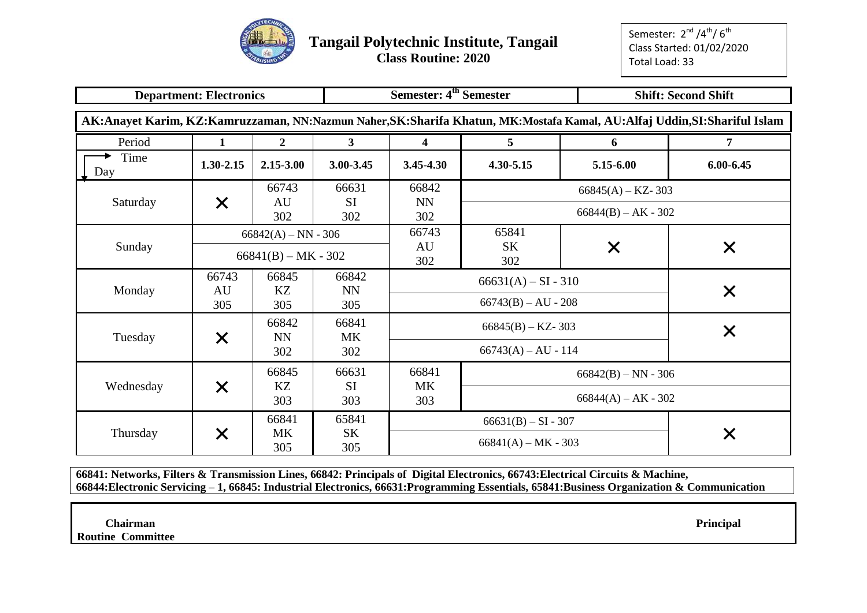

Semester: 2<sup>nd</sup> /4<sup>th</sup>/ 6<sup>th</sup> Class Started: 01/02/2020 Total Load: 33

|             | <b>Department: Electronics</b> |                       |                    | Semester: 4 <sup>th</sup> Semester |                       |                       | <b>Shift: Second Shift</b>                                                                                             |
|-------------|--------------------------------|-----------------------|--------------------|------------------------------------|-----------------------|-----------------------|------------------------------------------------------------------------------------------------------------------------|
|             |                                |                       |                    |                                    |                       |                       | AK:Anayet Karim, KZ:Kamruzzaman, NN:Nazmun Naher,SK:Sharifa Khatun, MK:Mostafa Kamal, AU:Alfaj Uddin,SI:Shariful Islam |
| Period      | 1                              | $\overline{2}$        | 3 <sup>1</sup>     | $\overline{\mathbf{4}}$            | 5                     | 6                     | $\overline{7}$                                                                                                         |
| Time<br>Day | 1.30-2.15                      | 2.15-3.00             | 3.00-3.45          | $3.45 - 4.30$                      | 4.30-5.15             | 5.15-6.00             | $6.00 - 6.45$                                                                                                          |
|             |                                | 66743                 | 66631              | 66842                              |                       | $66845(A) - KZ - 303$ |                                                                                                                        |
| Saturday    | $\times$                       | AU<br>302             | <b>SI</b><br>302   | <b>NN</b><br>302                   |                       | $66844(B) - AK - 302$ |                                                                                                                        |
|             |                                | $66842(A) - NN - 306$ |                    | 66743                              | 65841                 |                       |                                                                                                                        |
| Sunday      |                                | $66841(B) - MK - 302$ |                    | AU<br>302                          | <b>SK</b><br>302      | X                     | X                                                                                                                      |
|             | 66743                          | 66845                 | 66842              |                                    | $66631(A) - SI - 310$ |                       |                                                                                                                        |
| Monday      | AU<br>305                      | KZ<br>305             | <b>NN</b><br>305   |                                    | $66743(B) - AU - 208$ |                       | X                                                                                                                      |
| Tuesday     |                                | 66842<br><b>NN</b>    | 66841<br><b>MK</b> |                                    | $66845(B) - KZ - 303$ |                       | X                                                                                                                      |
|             | $\bm{\mathsf{X}}$              | 302                   | 302                |                                    | $66743(A) - AU - 114$ |                       |                                                                                                                        |
|             |                                | 66845                 | 66631              | 66841                              |                       | $66842(B) - NN - 306$ |                                                                                                                        |
| Wednesday   | $\bm{\mathsf{X}}$              | KZ<br>303             | <b>SI</b><br>303   | <b>MK</b><br>303                   |                       | $66844(A) - AK - 302$ |                                                                                                                        |
|             | 66841                          |                       | 65841              |                                    |                       | $66631(B) - SI - 307$ |                                                                                                                        |
| Thursday    | $\bm{\times}$                  | MK<br>305             | <b>SK</b><br>305   |                                    | $66841(A) - MK - 303$ |                       | Х                                                                                                                      |

**66841: Networks, Filters & Transmission Lines, 66842: Principals of Digital Electronics, 66743:Electrical Circuits & Machine, 66844:Electronic Servicing – 1, 66845: Industrial Electronics, 66631:Programming Essentials, 65841:Business Organization & Communication**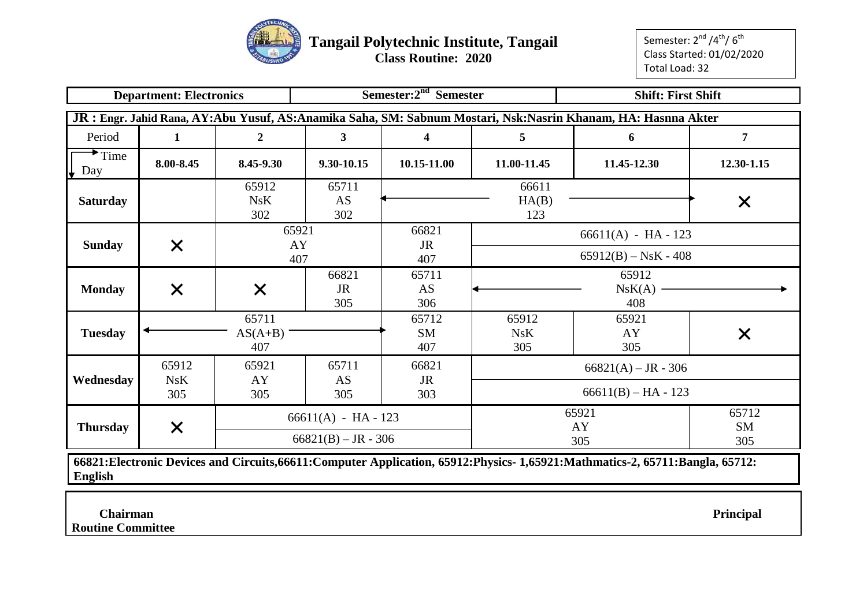

**Class Routine: 2020**

Semester: 2<sup>nd</sup> /4<sup>th</sup>/ 6<sup>th</sup> Class Started: 01/02/2020 Total Load: 32

|                                   |                                                                                                                                                                                               |                                                 |                                                |                           | <b>Shift: First Shift</b>  |                                                |            |  |  |  |  |  |  |  |  |
|-----------------------------------|-----------------------------------------------------------------------------------------------------------------------------------------------------------------------------------------------|-------------------------------------------------|------------------------------------------------|---------------------------|----------------------------|------------------------------------------------|------------|--|--|--|--|--|--|--|--|
|                                   | JR : Engr. Jahid Rana, AY:Abu Yusuf, AS:Anamika Saha, SM: Sabnum Mostari, Nsk:Nasrin Khanam, HA: Hasnna Akter<br>7<br>Period<br>$\overline{\mathbf{3}}$<br>$\overline{2}$<br>5<br>1<br>6<br>4 |                                                 |                                                |                           |                            |                                                |            |  |  |  |  |  |  |  |  |
|                                   |                                                                                                                                                                                               |                                                 |                                                |                           |                            |                                                |            |  |  |  |  |  |  |  |  |
| $\blacktriangleright$ Time<br>Day | 8.00-8.45                                                                                                                                                                                     | 8.45-9.30                                       | 9.30-10.15                                     | 10.15-11.00               | 11.00-11.45                | 11.45-12.30                                    | 12.30-1.15 |  |  |  |  |  |  |  |  |
| <b>Saturday</b>                   |                                                                                                                                                                                               | 65912<br>NsK<br>302                             | 65711<br>AS<br>302                             |                           | 66611<br>HA(B)<br>123      |                                                | $\times$   |  |  |  |  |  |  |  |  |
| <b>Sunday</b>                     | $\times$                                                                                                                                                                                      | $66611(A) - HA - 123$<br>$65912(B) - NsK - 408$ |                                                |                           |                            |                                                |            |  |  |  |  |  |  |  |  |
| <b>Monday</b>                     | $\times$                                                                                                                                                                                      | X                                               | 66821<br><b>JR</b><br>305                      | 65711<br>AS<br>306        |                            | 65912<br>NsK(A)<br>408                         |            |  |  |  |  |  |  |  |  |
| <b>Tuesday</b>                    |                                                                                                                                                                                               | 65711<br>$AS(A+B)$<br>407                       |                                                | 65712<br><b>SM</b><br>407 | 65912<br><b>NsK</b><br>305 | 65921<br>AY<br>305                             | X          |  |  |  |  |  |  |  |  |
| Wednesday                         | 65912<br>NsK<br>305                                                                                                                                                                           | 65921<br>AY<br>305                              | 65711<br>AS<br>305                             | 66821<br><b>JR</b><br>303 |                            | $66821(A) - JR - 306$<br>$66611(B) - HA - 123$ |            |  |  |  |  |  |  |  |  |
| <b>Thursday</b>                   | $\times$                                                                                                                                                                                      |                                                 | $66611(A) - HA - 123$<br>$66821(B) - JR - 306$ |                           |                            | 65921<br>65712<br>AY<br>SM<br>305<br>305       |            |  |  |  |  |  |  |  |  |

**66821:Electronic Devices and Circuits,66611:Computer Application, 65912:Physics- 1,65921:Mathmatics-2, 65711:Bangla, 65712: English**

 **Chairman Principal**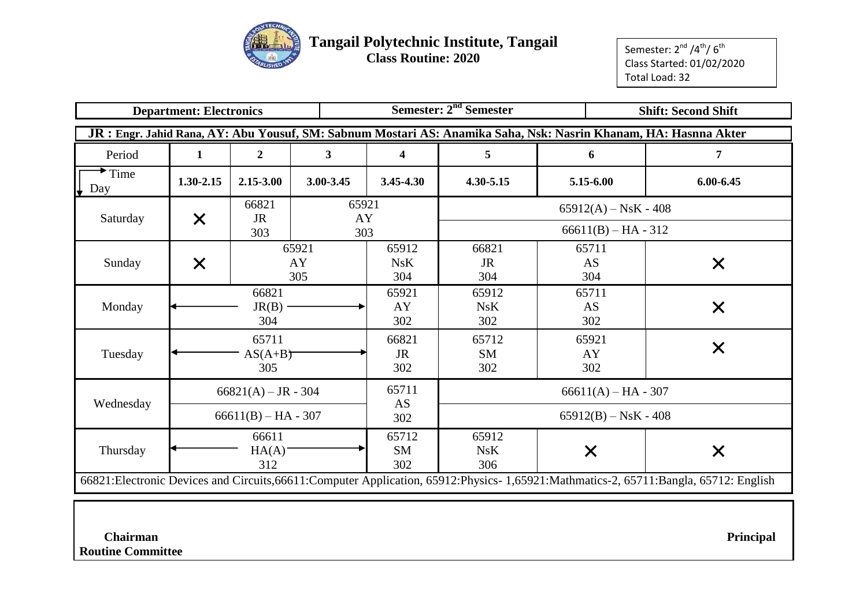

 **Class Routine: 2020**

Semester: 2<sup>nd</sup> /4<sup>th</sup>/ 6<sup>th</sup> Class Started: 01/02/2020 Total Load: 32

|                  | <b>Department: Electronics</b> |                           |                    |                           | Semester: 2 <sup>nd</sup> Semester |                                                                                                                  | <b>Shift: Second Shift</b>                                                                                                           |
|------------------|--------------------------------|---------------------------|--------------------|---------------------------|------------------------------------|------------------------------------------------------------------------------------------------------------------|--------------------------------------------------------------------------------------------------------------------------------------|
|                  |                                |                           |                    |                           |                                    | JR : Engr. Jahid Rana, AY: Abu Yousuf, SM: Sabnum Mostari AS: Anamika Saha, Nsk: Nasrin Khanam, HA: Hasnna Akter |                                                                                                                                      |
| Period           | 1                              | $\overline{2}$            | $\mathbf{3}$       | $\overline{\mathbf{4}}$   | 5                                  | 6                                                                                                                | 7                                                                                                                                    |
| Time<br>Day<br>↓ | 1.30-2.15                      | 2.15-3.00                 | 3.00-3.45          | $3.45 - 4.30$             | 4.30-5.15                          | 5.15-6.00                                                                                                        | 6.00-6.45                                                                                                                            |
|                  |                                | 66821<br><b>JR</b>        | 65921<br>AY        |                           |                                    | $65912(A) - NsK - 408$                                                                                           |                                                                                                                                      |
| Saturday         | X                              | 303                       | 303                |                           |                                    | $66611(B) - HA - 312$                                                                                            |                                                                                                                                      |
| Sunday           | X                              |                           | 65921<br>AY<br>305 | 65912<br>NsK<br>304       | 66821<br><b>JR</b><br>304          | 65711<br>AS<br>304                                                                                               | $\times$                                                                                                                             |
| Monday           |                                | 66821<br>$JR(B)$ -<br>304 |                    | 65921<br>AY<br>302        | 65912<br>NsK<br>302                | 65711<br>AS<br>302                                                                                               | $\times$                                                                                                                             |
| Tuesday          |                                | 65711<br>$AS(A+B)$<br>305 |                    | 66821<br><b>JR</b><br>302 | 65712<br><b>SM</b><br>302          | 65921<br>AY<br>302                                                                                               | $\bm{\mathsf{X}}$                                                                                                                    |
|                  |                                | $66821(A) - JR - 304$     |                    | 65711                     |                                    | $66611(A) - HA - 307$                                                                                            |                                                                                                                                      |
| Wednesday        |                                | $66611(B) - HA - 307$     |                    | AS<br>302                 |                                    | $65912(B) - NsK - 408$                                                                                           |                                                                                                                                      |
| Thursday         |                                | 66611<br>HA(A)<br>312     |                    | 65712<br>SM<br>302        | 65912<br>NsK<br>306                | $\times$                                                                                                         | $\times$                                                                                                                             |
|                  |                                |                           |                    |                           |                                    |                                                                                                                  | 66821:Electronic Devices and Circuits, 66611:Computer Application, 65912:Physics-1, 65921:Mathmatics-2, 65711:Bangla, 65712: English |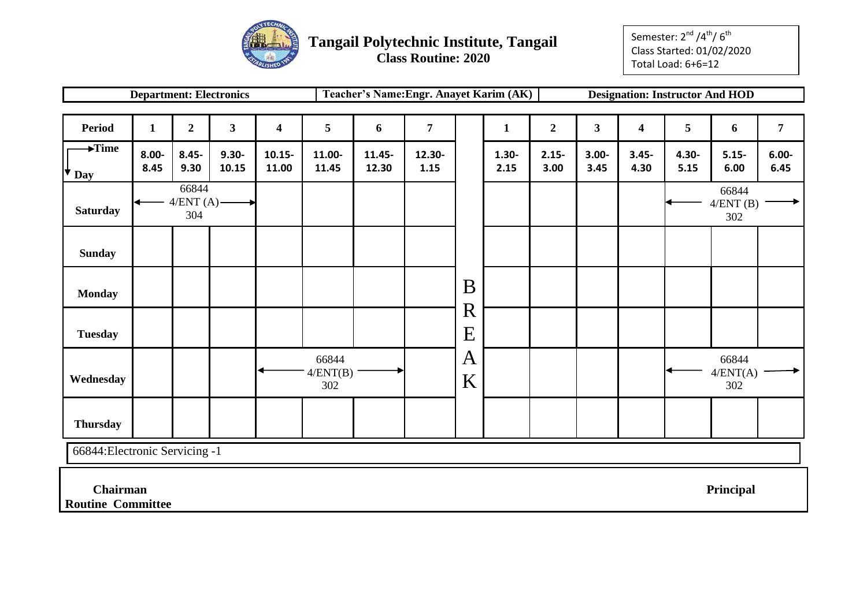

Semester: 2<sup>nd</sup> /4<sup>th</sup>/ 6<sup>th</sup> Class Started: 01/02/2020 Total Load: 6+6=12

|                                             |                  |                              | <b>Department: Electronics</b> |                         |                          | Teacher's Name: Engr. Anayet Karim (AK) |                |                  |                  |                  |                  |                         | <b>Designation: Instructor And HOD</b> |                          |                  |
|---------------------------------------------|------------------|------------------------------|--------------------------------|-------------------------|--------------------------|-----------------------------------------|----------------|------------------|------------------|------------------|------------------|-------------------------|----------------------------------------|--------------------------|------------------|
|                                             |                  |                              |                                |                         |                          |                                         |                |                  |                  |                  |                  |                         |                                        |                          |                  |
| <b>Period</b>                               | $\mathbf{1}$     | $\boldsymbol{2}$             | $\mathbf{3}$                   | $\overline{\mathbf{4}}$ | $5\overline{)}$          | 6                                       | $\overline{7}$ |                  | $\mathbf{1}$     | $\overline{2}$   | 3 <sup>1</sup>   | $\overline{\mathbf{4}}$ | 5                                      | 6                        | $\overline{7}$   |
| $\blacktriangleright$ Time<br>⋫<br>Day      | $8.00 -$<br>8.45 | $8.45 -$<br>9.30             | $9.30 -$<br>10.15              | $10.15 -$<br>11.00      | 11.00-<br>11.45          | 11.45-<br>12.30                         | 12.30-<br>1.15 |                  | $1.30 -$<br>2.15 | $2.15 -$<br>3.00 | $3.00 -$<br>3.45 | $3.45 -$<br>4.30        | $4.30 -$<br>5.15                       | $5.15 -$<br>6.00         | $6.00 -$<br>6.45 |
| <b>Saturday</b>                             |                  | 66844<br>$4/ENT(A)$ -<br>304 |                                |                         |                          |                                         |                |                  |                  |                  |                  |                         |                                        | 66844<br>4/ENT(B)<br>302 |                  |
| <b>Sunday</b>                               |                  |                              |                                |                         |                          |                                         |                |                  |                  |                  |                  |                         |                                        |                          |                  |
| <b>Monday</b>                               |                  |                              |                                |                         |                          |                                         |                | B<br>$\mathbf R$ |                  |                  |                  |                         |                                        |                          |                  |
| <b>Tuesday</b>                              |                  |                              |                                |                         |                          |                                         |                | E                |                  |                  |                  |                         |                                        |                          |                  |
| Wednesday                                   |                  |                              |                                |                         | 66844<br>4/ENT(B)<br>302 |                                         |                | A<br>K           |                  |                  |                  |                         |                                        | 66844<br>4/ENT(A)<br>302 |                  |
| <b>Thursday</b>                             |                  |                              |                                |                         |                          |                                         |                |                  |                  |                  |                  |                         |                                        |                          |                  |
| 66844: Electronic Servicing -1              |                  |                              |                                |                         |                          |                                         |                |                  |                  |                  |                  |                         |                                        |                          |                  |
| <b>Chairman</b><br><b>Routine Committee</b> |                  |                              |                                |                         |                          |                                         |                |                  |                  |                  |                  |                         |                                        | Principal                |                  |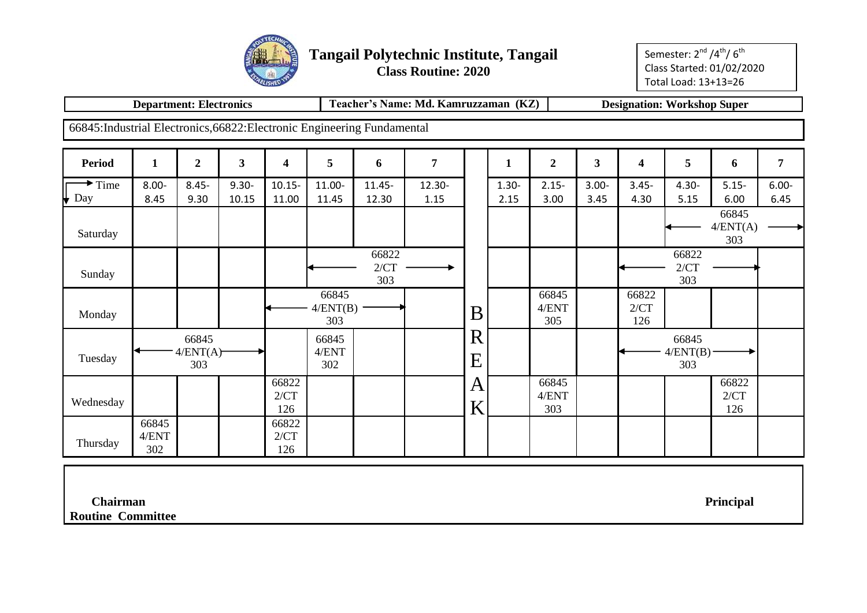

Semester: 2<sup>nd</sup> /4<sup>th</sup>/ 6<sup>th</sup> Class Started: 01/02/2020 Total Load: 13+13=26

|                                                                          | <b>Department: Electronics</b> |                          |                   |                      |                          |                      | Teacher's Name: Md. Kamruzzaman (KZ) |               |                  |                       |                         |                      | <b>Designation: Workshop Super</b> |                          |                  |
|--------------------------------------------------------------------------|--------------------------------|--------------------------|-------------------|----------------------|--------------------------|----------------------|--------------------------------------|---------------|------------------|-----------------------|-------------------------|----------------------|------------------------------------|--------------------------|------------------|
| 66845: Industrial Electronics, 66822: Electronic Engineering Fundamental |                                |                          |                   |                      |                          |                      |                                      |               |                  |                       |                         |                      |                                    |                          |                  |
| <b>Period</b>                                                            | $\mathbf{1}$                   | $\boldsymbol{2}$         | $\mathbf{3}$      | 4                    | 5                        | 6                    | 7                                    |               | 1                | $\boldsymbol{2}$      | $\overline{\mathbf{3}}$ | 4                    | 5                                  | 6                        | $\overline{7}$   |
| $\rightarrow$ Time<br>Day                                                | $8.00 -$<br>8.45               | $8.45 -$<br>9.30         | $9.30 -$<br>10.15 | $10.15 -$<br>11.00   | 11.00-<br>11.45          | $11.45 -$<br>12.30   | 12.30-<br>1.15                       |               | $1.30 -$<br>2.15 | $2.15 -$<br>3.00      | $3.00 -$<br>3.45        | $3.45 -$<br>4.30     | $4.30 -$<br>5.15                   | $5.15 -$<br>6.00         | $6.00 -$<br>6.45 |
| Saturday                                                                 |                                |                          |                   |                      |                          |                      |                                      |               |                  |                       |                         |                      |                                    | 66845<br>4/ENT(A)<br>303 |                  |
| Sunday                                                                   |                                |                          |                   |                      |                          | 66822<br>2/CT<br>303 |                                      |               |                  |                       |                         |                      | 66822<br>2/CT<br>303               |                          |                  |
| Monday                                                                   |                                |                          |                   |                      | 66845<br>4/ENT(B)<br>303 |                      |                                      | B             |                  | 66845<br>4/ENT<br>305 |                         | 66822<br>2/CT<br>126 |                                    |                          |                  |
| Tuesday                                                                  |                                | 66845<br>4/ENT(A)<br>303 |                   |                      | 66845<br>4/ENT<br>302    |                      |                                      | R<br>E        |                  |                       |                         |                      | 66845<br>$4/ENT(B)$ -<br>303       |                          |                  |
| Wednesday                                                                |                                |                          |                   | 66822<br>2/CT<br>126 |                          |                      |                                      | $\bm{A}$<br>K |                  | 66845<br>4/ENT<br>303 |                         |                      |                                    | 66822<br>2/CT<br>126     |                  |
| Thursday                                                                 | 66845<br>4/ENT<br>302          |                          |                   | 66822<br>2/CT<br>126 |                          |                      |                                      |               |                  |                       |                         |                      |                                    |                          |                  |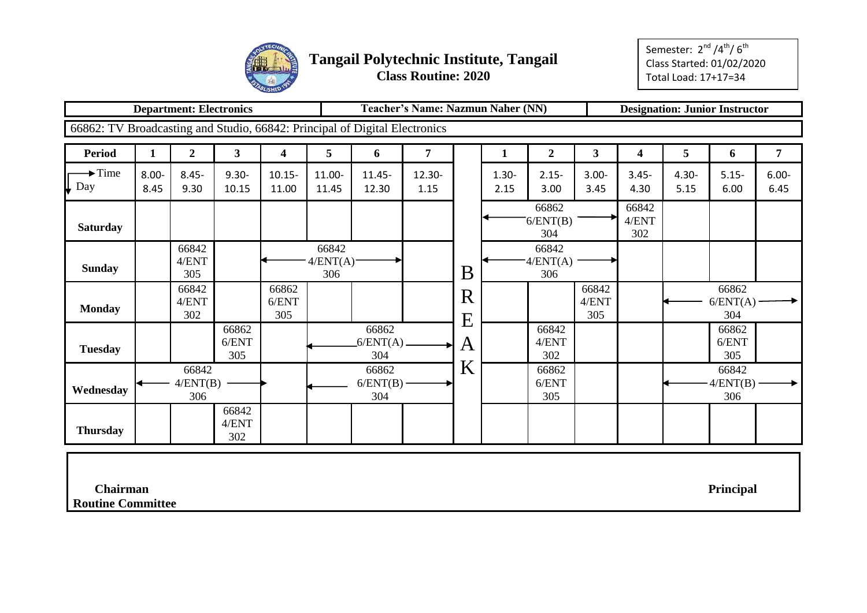

|                                                                            |                  | <b>Department: Electronics</b> |                       |                       |                                         |                              | <b>Teacher's Name: Nazmun Naher (NN)</b> |        |                  |                          |                       |                       |                  | <b>Designation: Junior Instructor</b> |                  |
|----------------------------------------------------------------------------|------------------|--------------------------------|-----------------------|-----------------------|-----------------------------------------|------------------------------|------------------------------------------|--------|------------------|--------------------------|-----------------------|-----------------------|------------------|---------------------------------------|------------------|
| 66862: TV Broadcasting and Studio, 66842: Principal of Digital Electronics |                  |                                |                       |                       |                                         |                              |                                          |        |                  |                          |                       |                       |                  |                                       |                  |
| <b>Period</b>                                                              | $\mathbf{1}$     | $\boldsymbol{2}$               | $\mathbf{3}$          | 4                     | 5 <sup>5</sup>                          | 6                            | 7                                        |        | $\mathbf{1}$     | $\overline{2}$           | $\mathbf{3}$          | 4                     | 5                | 6                                     | 7                |
| $\rightarrow$ Time<br>Day                                                  | $8.00 -$<br>8.45 | $8.45 -$<br>9.30               | $9.30 -$<br>10.15     | $10.15 -$<br>11.00    | 11.00-<br>11.45                         | $11.45 -$<br>12.30           | 12.30-<br>1.15                           |        | $1.30 -$<br>2.15 | $2.15 -$<br>3.00         | $3.00 -$<br>3.45      | $3.45 -$<br>4.30      | $4.30 -$<br>5.15 | $5.15 -$<br>6.00                      | $6.00 -$<br>6.45 |
| <b>Saturday</b>                                                            |                  |                                |                       |                       |                                         |                              |                                          |        |                  | 66862<br>6/ENT(B)<br>304 |                       | 66842<br>4/ENT<br>302 |                  |                                       |                  |
| <b>Sunday</b>                                                              |                  | 66842<br>4/ENT<br>305          |                       |                       | 66842<br>$4/ENT(A)$ <sup>-</sup><br>306 |                              |                                          | B      |                  | 66842<br>4/ENT(A)<br>306 |                       |                       |                  |                                       |                  |
| <b>Monday</b>                                                              |                  | 66842<br>4/ENT<br>302          |                       | 66862<br>6/ENT<br>305 |                                         |                              |                                          | R<br>E |                  |                          | 66842<br>4/ENT<br>305 |                       |                  | 66862<br>$6/ENT(A)$ -<br>304          |                  |
| <b>Tuesday</b>                                                             |                  |                                | 66862<br>6/ENT<br>305 |                       |                                         | 66862<br>$6/ENT(A)$ .<br>304 |                                          | A      |                  | 66842<br>4/ENT<br>302    |                       |                       |                  | 66862<br>6/ENT<br>305                 |                  |
| Wednesday                                                                  |                  | 66842<br>4/ENT(B)<br>306       |                       |                       |                                         | 66862<br>$6/ENT(B)$ -<br>304 |                                          | K      |                  | 66862<br>6/ENT<br>305    |                       |                       |                  | 66842<br>$-4/ENT(B)$ -<br>306         |                  |
| <b>Thursday</b>                                                            |                  |                                | 66842<br>4/ENT<br>302 |                       |                                         |                              |                                          |        |                  |                          |                       |                       |                  |                                       |                  |
| <b>Chairman</b>                                                            |                  |                                |                       |                       |                                         |                              |                                          |        |                  |                          |                       |                       |                  | Principal                             |                  |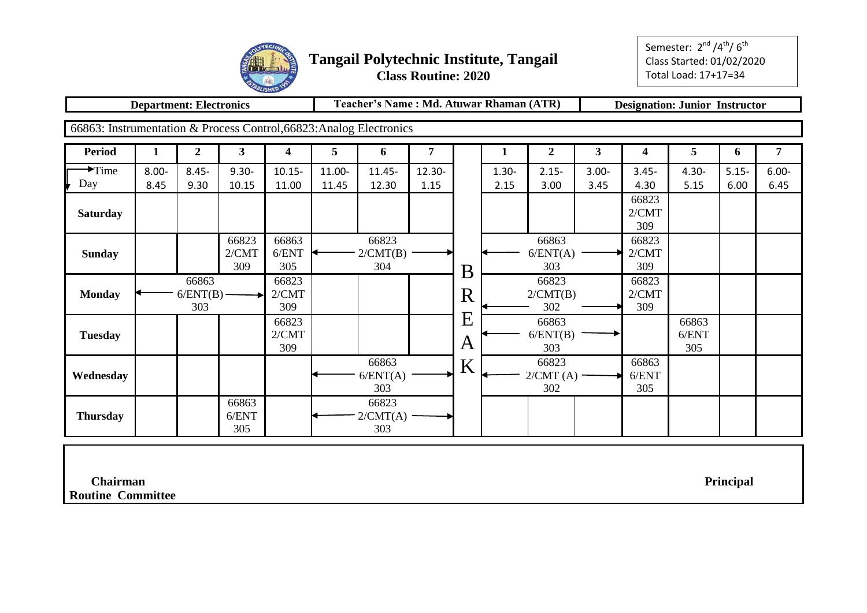

Semester: 2<sup>nd</sup> /4<sup>th</sup>/ 6<sup>th</sup> Class Started: 01/02/2020 Total Load: 17+17=34

**Department: Electronics Teacher's Name : Md. Atuwar Rhaman (ATR) Designation: Junior Instructor**

66863: Instrumentation & Process Control,66823:Analog Electronics

| <b>Period</b>      |          | $\boldsymbol{2}$             | $\mathbf{3}$          | 4                     | 5      | 6                        |        |               |          | $\mathbf 2$              | 3        | 4                     | 5                     | $\mathbf b$ | 7        |
|--------------------|----------|------------------------------|-----------------------|-----------------------|--------|--------------------------|--------|---------------|----------|--------------------------|----------|-----------------------|-----------------------|-------------|----------|
| $\rightarrow$ Time | $8.00 -$ | $8.45 -$                     | $9.30 -$              | $10.15 -$             | 11.00- | 11.45-                   | 12.30- |               | $1.30 -$ | $2.15 -$                 | $3.00 -$ | $3.45 -$              | $4.30 -$              | $5.15 -$    | $6.00 -$ |
| Day                | 8.45     | 9.30                         | 10.15                 | 11.00                 | 11.45  | 12.30                    | 1.15   |               | 2.15     | 3.00                     | 3.45     | 4.30                  | 5.15                  | 6.00        | 6.45     |
| <b>Saturday</b>    |          |                              |                       |                       |        |                          |        |               |          |                          |          | 66823<br>2/CMT<br>309 |                       |             |          |
| <b>Sunday</b>      |          |                              | 66823<br>2/CMT<br>309 | 66863<br>6/ENT<br>305 |        | 66823<br>2/CMT(B)<br>304 |        | B             |          | 66863<br>6/ENT(A)<br>303 |          | 66823<br>2/CMT<br>309 |                       |             |          |
| <b>Monday</b>      |          | 66863<br>$6/ENT(B)$ -<br>303 |                       | 66823<br>2/CMT<br>309 |        |                          |        | R             |          | 66823<br>2/CMT(B)<br>302 |          | 66823<br>2/CMT<br>309 |                       |             |          |
| <b>Tuesday</b>     |          |                              |                       | 66823<br>2/CMT<br>309 |        |                          |        | E<br>$\bm{A}$ |          | 66863<br>6/ENT(B)<br>303 |          |                       | 66863<br>6/ENT<br>305 |             |          |
| Wednesday          |          |                              |                       |                       |        | 66863<br>6/ENT(A)<br>303 |        | K             |          | 66823<br>2/CMT(A)<br>302 |          | 66863<br>6/ENT<br>305 |                       |             |          |
| <b>Thursday</b>    |          |                              | 66863<br>6/ENT<br>305 |                       |        | 66823<br>2/CMT(A)<br>303 |        |               |          |                          |          |                       |                       |             |          |

 **Chairman Principal**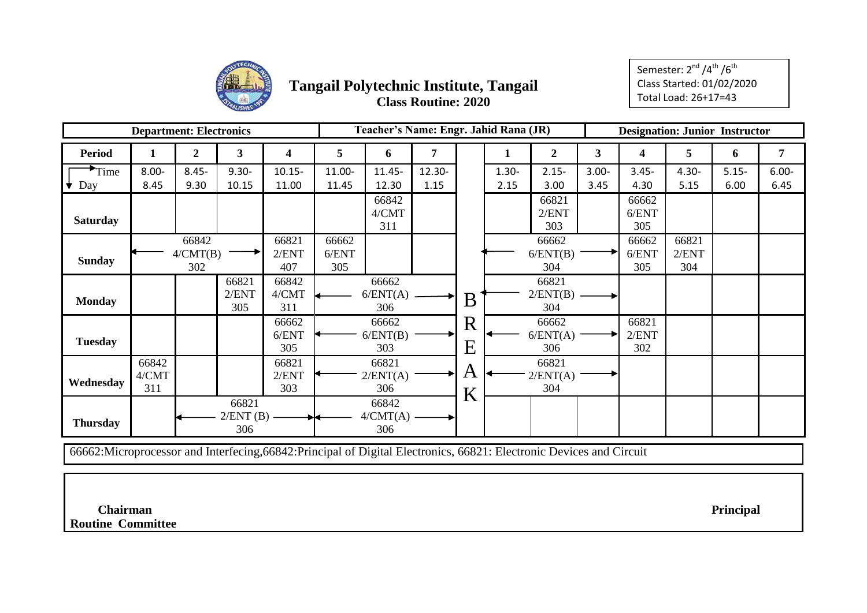

Semester: 2<sup>nd</sup> /4<sup>th</sup> /6<sup>th</sup> Class Started: 01/02/2020 Total Load: 26+17=43

|                 | <b>Department: Electronics</b> |                          |                              |                       |                       | Teacher's Name: Engr. Jahid Rana (JR) |        |                                          |          |                              |              | <b>Designation: Junior Instructor</b> |                       |          |          |
|-----------------|--------------------------------|--------------------------|------------------------------|-----------------------|-----------------------|---------------------------------------|--------|------------------------------------------|----------|------------------------------|--------------|---------------------------------------|-----------------------|----------|----------|
| <b>Period</b>   |                                | 2                        | 3                            | 4                     | 5                     | 6                                     | 7      |                                          |          | $\boldsymbol{2}$             | $\mathbf{3}$ | 4                                     | 5                     | 6        | 7        |
| Time            | $8.00 -$                       | $8.45 -$                 | $9.30 -$                     | $10.15 -$             | 11.00-                | $11.45 -$                             | 12.30- |                                          | $1.30 -$ | $2.15 -$                     | $3.00 -$     | $3.45 -$                              | $4.30 -$              | $5.15 -$ | $6.00 -$ |
| Day             | 8.45                           | 9.30                     | 10.15                        | 11.00                 | 11.45                 | 12.30                                 | 1.15   |                                          | 2.15     | 3.00                         | 3.45         | 4.30                                  | 5.15                  | 6.00     | 6.45     |
| <b>Saturday</b> |                                |                          |                              |                       |                       | 66842<br>4/CMT<br>311                 |        |                                          |          | 66821<br>2/ENT<br>303        |              | 66662<br>6/ENT<br>305                 |                       |          |          |
| <b>Sunday</b>   |                                | 66842<br>4/CMT(B)<br>302 |                              | 66821<br>2/ENT<br>407 | 66662<br>6/ENT<br>305 |                                       |        |                                          |          | 66662<br>6/ENT(B)<br>304     |              | 66662<br>6/ENT<br>305                 | 66821<br>2/ENT<br>304 |          |          |
| <b>Monday</b>   |                                |                          | 66821<br>2/ENT<br>305        | 66842<br>4/CMT<br>311 |                       | 66662<br>6/ENT(A)<br>306              |        | B                                        |          | 66821<br>$2/ENT(B)$ –<br>304 |              |                                       |                       |          |          |
| <b>Tuesday</b>  |                                |                          |                              | 66662<br>6/ENT<br>305 |                       | 66662<br>6/ENT(B)<br>303              |        | $\mathbf R$<br>$\boldsymbol{\mathrm{E}}$ |          | 66662<br>6/ENT(A)<br>306     |              | 66821<br>2/ENT<br>302                 |                       |          |          |
| Wednesday       | 66842<br>4/CMT<br>311          |                          |                              | 66821<br>2/ENT<br>303 |                       | 66821<br>2/ENT(A)<br>306              |        | A<br>K                                   |          | 66821<br>2/ENT(A)<br>304     |              |                                       |                       |          |          |
| <b>Thursday</b> |                                |                          | 66821<br>$2/ENT(B)$ –<br>306 | ↠                     |                       | 66842<br>$4/CMT(A)$ .<br>306          |        |                                          |          |                              |              |                                       |                       |          |          |

66662:Microprocessor and Interfecing,66842:Principal of Digital Electronics, 66821: Electronic Devices and Circuit

 **Chairman Principal**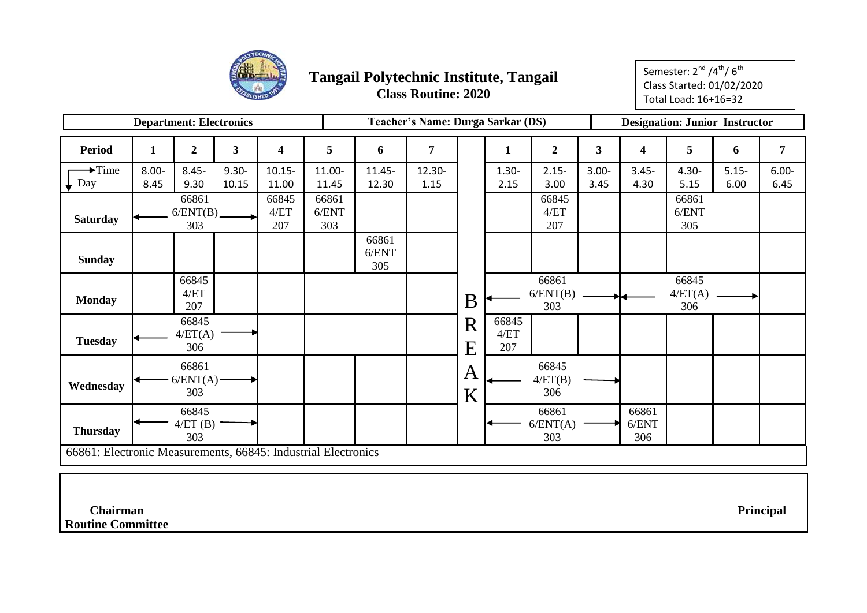

Semester: 2<sup>nd</sup> /4<sup>th</sup>/ 6<sup>th</sup> Class Started: 01/02/2020 Total Load: 16+16=32

|                                                               |          | <b>Department: Electronics</b> |              |                      |                       |                       | <b>Teacher's Name: Durga Sarkar (DS)</b> |        |                        |                          |                         |                       | <b>Designation: Junior Instructor</b> |          |                |
|---------------------------------------------------------------|----------|--------------------------------|--------------|----------------------|-----------------------|-----------------------|------------------------------------------|--------|------------------------|--------------------------|-------------------------|-----------------------|---------------------------------------|----------|----------------|
| <b>Period</b>                                                 | 1        | $\overline{2}$                 | $\mathbf{3}$ | 4                    | 5                     | 6                     | $\overline{7}$                           |        | 1                      | $\overline{2}$           | $\overline{\mathbf{3}}$ | 4                     | 5                                     | 6        | $\overline{7}$ |
| $\rightarrow$ Time                                            | $8.00 -$ | $8.45 -$                       | $9.30 -$     | $10.15 -$            | 11.00-                | $11.45 -$             | 12.30-                                   |        | $1.30 -$               | $2.15 -$                 | $3.00 -$                | $3.45 -$              | $4.30 -$                              | $5.15 -$ | $6.00 -$       |
| Day                                                           | 8.45     | 9.30                           | 10.15        | 11.00                | 11.45                 | 12.30                 | 1.15                                     |        | 2.15                   | 3.00                     | 3.45                    | 4.30                  | 5.15                                  | 6.00     | 6.45           |
| <b>Saturday</b>                                               |          | 66861<br>6/ENT(B)<br>303       |              | 66845<br>4/ET<br>207 | 66861<br>6/ENT<br>303 |                       |                                          |        |                        | 66845<br>4/ET<br>207     |                         |                       | 66861<br>6/ENT<br>305                 |          |                |
| <b>Sunday</b>                                                 |          |                                |              |                      |                       | 66861<br>6/ENT<br>305 |                                          |        |                        |                          |                         |                       |                                       |          |                |
| <b>Monday</b>                                                 |          | 66845<br>4/ET<br>207           |              |                      |                       |                       |                                          | B      |                        | 66861<br>6/ENT(B)<br>303 |                         |                       | 66845<br>4/ET(A)<br>306               |          |                |
| <b>Tuesday</b>                                                |          | 66845<br>4/ET(A)<br>306        |              |                      |                       |                       |                                          | R<br>Ε | 66845<br>$4/ET$<br>207 |                          |                         |                       |                                       |          |                |
| Wednesday                                                     |          | 66861<br>6/ENT(A)<br>303       |              |                      |                       |                       |                                          | Α<br>K |                        | 66845<br>4/ET(B)<br>306  |                         |                       |                                       |          |                |
| <b>Thursday</b>                                               |          | 66845<br>4/ET(B)<br>303        |              |                      |                       |                       |                                          |        |                        | 66861<br>6/ENT(A)<br>303 |                         | 66861<br>6/ENT<br>306 |                                       |          |                |
| 66861: Electronic Measurements, 66845: Industrial Electronics |          |                                |              |                      |                       |                       |                                          |        |                        |                          |                         |                       |                                       |          |                |

 **Chairman Principal**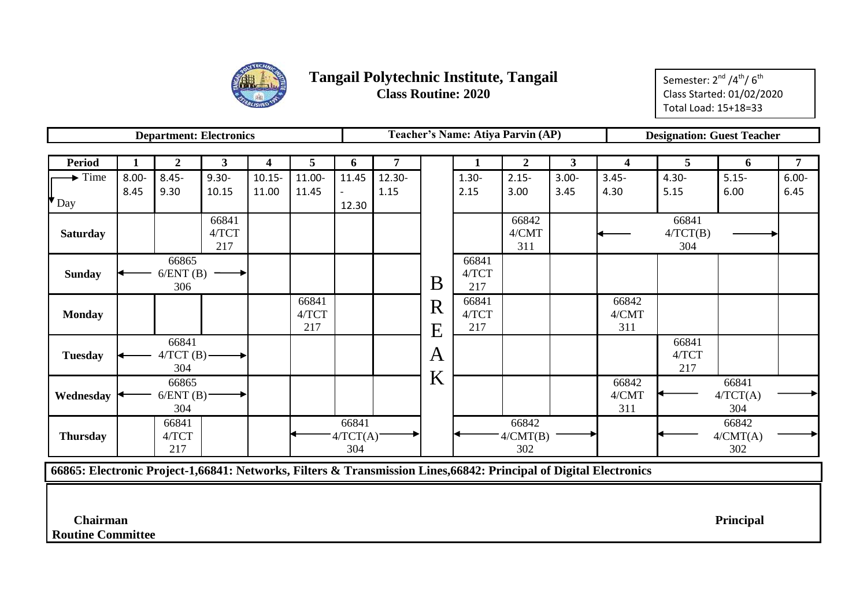

Semester: 2<sup>nd</sup> /4<sup>th</sup>/ 6<sup>th</sup> Class Started: 01/02/2020 Total Load: 15+18=33

|                           |          | <b>Department: Electronics</b> |              |           |        |          |                |   |          | Teacher's Name: Atiya Parvin (AP) |              |          | <b>Designation: Guest Teacher</b> |          |          |
|---------------------------|----------|--------------------------------|--------------|-----------|--------|----------|----------------|---|----------|-----------------------------------|--------------|----------|-----------------------------------|----------|----------|
|                           |          |                                |              |           |        |          |                |   |          |                                   |              |          |                                   |          |          |
| <b>Period</b>             | 1        | $\boldsymbol{2}$               | $\mathbf{3}$ | 4         | 5      | 6        | $\overline{7}$ |   | 1        | $\boldsymbol{2}$                  | $\mathbf{3}$ | 4        | 5                                 | 6        | 7        |
| $\rightarrow$ Time        | $8.00 -$ | $8.45 -$                       | $9.30 -$     | $10.15 -$ | 11.00- | 11.45    | 12.30-         |   | $1.30 -$ | $2.15 -$                          | $3.00 -$     | $3.45 -$ | $4.30 -$                          | $5.15 -$ | $6.00 -$ |
|                           | 8.45     | 9.30                           | 10.15        | 11.00     | 11.45  |          | 1.15           |   | 2.15     | 3.00                              | 3.45         | 4.30     | 5.15                              | 6.00     | 6.45     |
| $\mathbf{v}_{\text{Day}}$ |          |                                |              |           |        | 12.30    |                |   |          |                                   |              |          |                                   |          |          |
|                           |          |                                | 66841        |           |        |          |                |   |          | 66842                             |              |          | 66841                             |          |          |
| <b>Saturday</b>           |          |                                | 4/TCT        |           |        |          |                |   |          | 4/CMT                             |              |          | 4/TCT(B)                          |          |          |
|                           |          |                                | 217          |           |        |          |                |   |          | 311                               |              |          | 304                               |          |          |
|                           |          | 66865                          |              |           |        |          |                |   | 66841    |                                   |              |          |                                   |          |          |
| <b>Sunday</b>             |          | 6/ENT(B)                       |              |           |        |          |                | B | 4/TCT    |                                   |              |          |                                   |          |          |
|                           |          | 306                            |              |           |        |          |                |   | 217      |                                   |              |          |                                   |          |          |
|                           |          |                                |              |           | 66841  |          |                | R | 66841    |                                   |              | 66842    |                                   |          |          |
| <b>Monday</b>             |          |                                |              |           | 4/TCT  |          |                |   | 4/TCT    |                                   |              | 4/CMT    |                                   |          |          |
|                           |          |                                |              |           | 217    |          |                | E | 217      |                                   |              | 311      |                                   |          |          |
|                           |          | 66841                          |              |           |        |          |                |   |          |                                   |              |          | 66841                             |          |          |
| <b>Tuesday</b>            |          | $4/TCT(B)$ -                   |              |           |        |          |                | A |          |                                   |              |          | 4/TCT                             |          |          |
|                           |          | 304                            |              |           |        |          |                |   |          |                                   |              |          | 217                               |          |          |
|                           |          | 66865                          |              |           |        |          |                | K |          |                                   |              | 66842    |                                   | 66841    |          |
| Wednesday                 |          | 6/ENT(B)                       |              |           |        |          |                |   |          |                                   |              | 4/CMT    |                                   | 4/TCT(A) |          |
|                           |          | 304                            |              |           |        |          |                |   |          |                                   |              | 311      |                                   | 304      |          |
|                           | 66841    |                                |              |           |        | 66841    |                |   |          | 66842                             |              |          |                                   | 66842    |          |
| <b>Thursday</b>           |          | 4/TCT                          |              |           |        | 4/TCT(A) |                |   |          | A/CMT(B)                          |              |          |                                   | 4/CMT(A) |          |
|                           |          | 217                            |              |           |        | 304      |                |   |          | 302                               |              |          |                                   | 302      |          |

**66865: Electronic Project-1,66841: Networks, Filters & Transmission Lines,66842: Principal of Digital Electronics**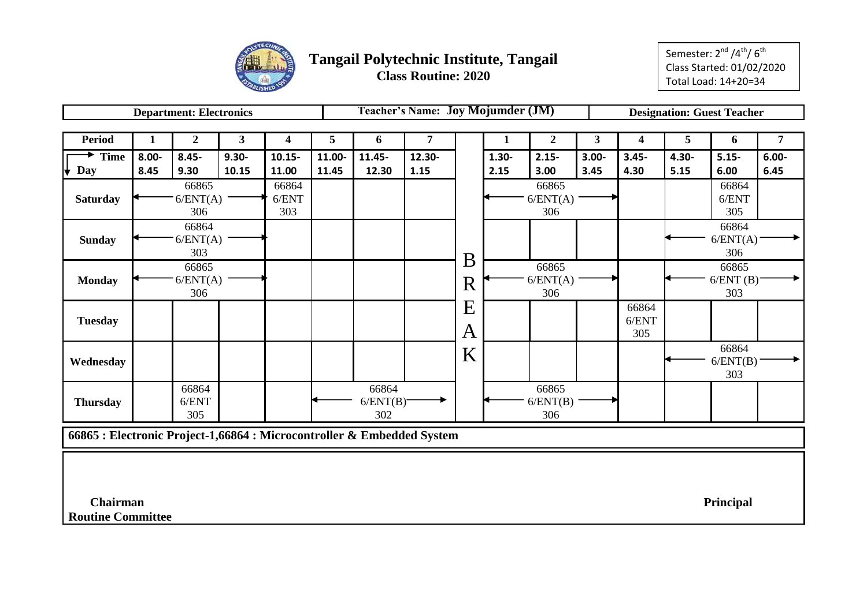

|                                                                        |              | <b>Department: Electronics</b> |                         |           |        |           | <b>Teacher's Name: Joy Mojumder (JM)</b> |              |          |                  |                |                  |          | <b>Designation: Guest Teacher</b> |                |
|------------------------------------------------------------------------|--------------|--------------------------------|-------------------------|-----------|--------|-----------|------------------------------------------|--------------|----------|------------------|----------------|------------------|----------|-----------------------------------|----------------|
|                                                                        |              |                                |                         |           |        |           |                                          |              |          |                  |                |                  |          |                                   |                |
| <b>Period</b>                                                          | $\mathbf{1}$ | $\boldsymbol{2}$               | $\overline{\mathbf{3}}$ | 4         | 5      | 6         | 7                                        |              | 1        | $\boldsymbol{2}$ | 3 <sup>1</sup> | $\boldsymbol{4}$ | 5        | 6                                 | $\overline{7}$ |
| <b>Time</b>                                                            | $8.00 -$     | $8.45 -$                       | $9.30 -$                | $10.15 -$ | 11.00- | $11.45 -$ | 12.30-                                   |              | $1.30 -$ | $2.15 -$         | $3.00 -$       | $3.45 -$         | $4.30 -$ | $5.15 -$                          | $6.00 -$       |
| Day                                                                    | 8.45         | 9.30                           | 10.15                   | 11.00     | 11.45  | 12.30     | 1.15                                     |              | 2.15     | 3.00             | 3.45           | 4.30             | 5.15     | 6.00                              | 6.45           |
|                                                                        |              | 66865                          |                         | 66864     |        |           |                                          |              |          | 66865            |                |                  |          | 66864                             |                |
| <b>Saturday</b>                                                        |              | 6/ENT(A)                       |                         | 6/ENT     |        |           |                                          |              |          | 6/ENT(A)         |                |                  |          | 6/ENT                             |                |
|                                                                        |              | 306                            |                         | 303       |        |           |                                          |              |          | 306              |                |                  |          | 305                               |                |
|                                                                        |              | 66864                          |                         |           |        |           |                                          |              |          |                  |                |                  |          | 66864                             |                |
| <b>Sunday</b>                                                          |              | 6/ENT(A)                       |                         |           |        |           |                                          |              |          |                  |                |                  |          | 6/ENT(A)                          |                |
|                                                                        |              | 303                            |                         |           |        |           |                                          | B            |          |                  |                |                  |          | 306                               |                |
|                                                                        |              | 66865                          |                         |           |        |           |                                          |              |          | 66865            |                |                  |          | 66865                             |                |
| <b>Monday</b>                                                          |              | 6/ENT(A)                       |                         |           |        |           |                                          | R            |          | 6/ENT(A)         |                |                  |          | 6/ENT(B)                          |                |
|                                                                        |              | 306                            |                         |           |        |           |                                          |              |          | 306              |                |                  |          | 303                               |                |
|                                                                        |              |                                |                         |           |        |           |                                          | E            |          |                  |                | 66864            |          |                                   |                |
| <b>Tuesday</b>                                                         |              |                                |                         |           |        |           |                                          |              |          |                  |                | 6/ENT            |          |                                   |                |
|                                                                        |              |                                |                         |           |        |           |                                          | $\mathbf{A}$ |          |                  |                | 305              |          |                                   |                |
|                                                                        |              |                                |                         |           |        |           |                                          | K            |          |                  |                |                  |          | 66864                             |                |
| Wednesday                                                              |              |                                |                         |           |        |           |                                          |              |          |                  |                |                  |          | 6/ENT(B)                          |                |
|                                                                        |              |                                |                         |           |        |           |                                          |              |          |                  |                |                  |          | 303                               |                |
|                                                                        |              | 66864                          |                         |           |        | 66864     |                                          |              |          | 66865            |                |                  |          |                                   |                |
| <b>Thursday</b>                                                        |              | 6/ENT                          |                         |           |        | 6/ENT(B)  |                                          |              |          | 6/ENT(B)         |                |                  |          |                                   |                |
|                                                                        |              | 305                            |                         |           |        | 302       |                                          |              |          | 306              |                |                  |          |                                   |                |
| 66865 : Electronic Project-1,66864 : Microcontroller & Embedded System |              |                                |                         |           |        |           |                                          |              |          |                  |                |                  |          |                                   |                |
|                                                                        |              |                                |                         |           |        |           |                                          |              |          |                  |                |                  |          |                                   |                |
|                                                                        |              |                                |                         |           |        |           |                                          |              |          |                  |                |                  |          |                                   |                |
|                                                                        |              |                                |                         |           |        |           |                                          |              |          |                  |                |                  |          |                                   |                |
|                                                                        |              |                                |                         |           |        |           |                                          |              |          |                  |                |                  |          |                                   |                |
| <b>Chairman</b>                                                        |              |                                |                         |           |        |           |                                          |              |          |                  |                |                  |          | Principal                         |                |
| <b>Routine Committee</b>                                               |              |                                |                         |           |        |           |                                          |              |          |                  |                |                  |          |                                   |                |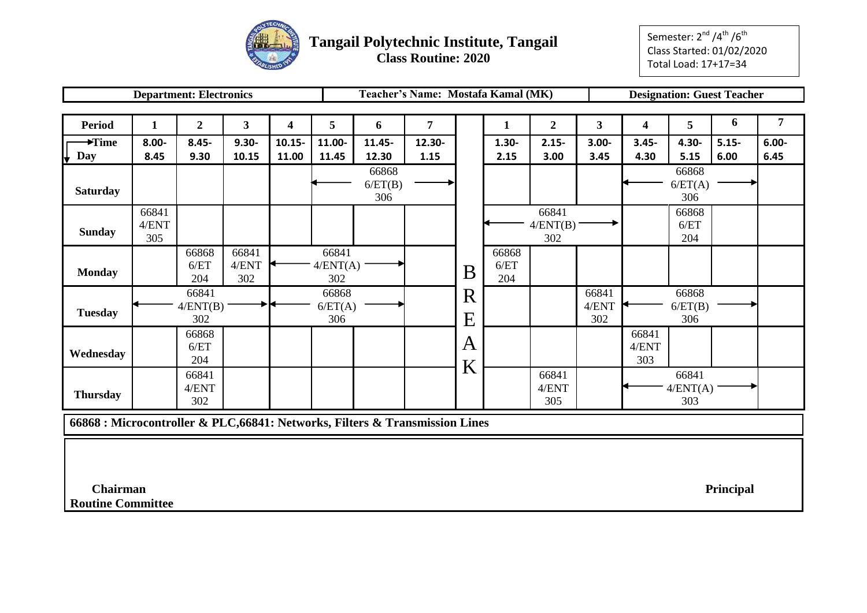

**Class Routine: 2020**

Semester: 2<sup>nd</sup> /4<sup>th</sup> /6<sup>th</sup> Class Started: 01/02/2020 Total Load: 17+17=34

|                                                                              |              | <b>Department: Electronics</b> |                         |           |          |         | Teacher's Name: Mostafa Kamal (MK) |   |          |                |                         |              | <b>Designation: Guest Teacher</b> |          |                |
|------------------------------------------------------------------------------|--------------|--------------------------------|-------------------------|-----------|----------|---------|------------------------------------|---|----------|----------------|-------------------------|--------------|-----------------------------------|----------|----------------|
|                                                                              |              |                                |                         |           |          |         |                                    |   |          |                |                         |              |                                   |          |                |
| <b>Period</b>                                                                | $\mathbf{1}$ | $\mathbf{2}$                   | $\overline{\mathbf{3}}$ | 4         | 5        | 6       | $\overline{7}$                     |   | 1        | $\overline{2}$ | $\overline{\mathbf{3}}$ | 4            | 5                                 | 6        | $\overline{7}$ |
| $\blacktriangleright$ Time                                                   | $8.00 -$     | $8.45 -$                       | $9.30 -$                | $10.15 -$ | 11.00-   | 11.45-  | 12.30-                             |   | $1.30 -$ | $2.15 -$       | $3.00 -$                | $3.45 -$     | 4.30-                             | $5.15 -$ | $6.00 -$       |
| Day                                                                          | 8.45         | 9.30                           | 10.15                   | 11.00     | 11.45    | 12.30   | 1.15                               |   | 2.15     | 3.00           | 3.45                    | 4.30         | 5.15                              | 6.00     | 6.45           |
|                                                                              |              |                                |                         |           |          | 66868   |                                    |   |          |                |                         |              | 66868                             |          |                |
| <b>Saturday</b>                                                              |              |                                |                         |           |          | 6/ET(B) |                                    |   |          |                |                         |              | 6/ET(A)                           |          |                |
|                                                                              |              |                                |                         |           |          | 306     |                                    |   |          |                |                         |              | 306                               |          |                |
|                                                                              | 66841        |                                |                         |           |          |         |                                    |   |          | 66841          |                         |              | 66868                             |          |                |
| <b>Sunday</b>                                                                | 4/ENT        |                                |                         |           |          |         |                                    |   |          | 4/ENT(B)       |                         |              | 6/ET                              |          |                |
|                                                                              | 305          |                                |                         |           |          |         |                                    |   |          | 302            |                         |              | 204                               |          |                |
|                                                                              |              | 66868                          | 66841                   |           | 66841    |         |                                    |   | 66868    |                |                         |              |                                   |          |                |
| <b>Monday</b>                                                                |              | 6/ET                           | 4/ENT                   |           | 4/ENT(A) |         |                                    | B | 6/ET     |                |                         |              |                                   |          |                |
|                                                                              |              | 204                            | 302                     |           | 302      |         |                                    |   | 204      |                |                         |              |                                   |          |                |
|                                                                              |              | 66841                          |                         |           | 66868    |         |                                    | R |          |                | 66841                   |              | 66868                             |          |                |
| <b>Tuesday</b>                                                               |              | 4/ENT(B)                       |                         |           | 6/ET(A)  |         |                                    |   |          |                | 4/ENT                   |              | 6/ET(B)                           |          |                |
|                                                                              |              | 302                            |                         |           | 306      |         |                                    | E |          |                | 302                     |              | 306                               |          |                |
|                                                                              |              | 66868                          |                         |           |          |         |                                    | A |          |                |                         | 66841        |                                   |          |                |
| Wednesday                                                                    |              | 6/ET<br>204                    |                         |           |          |         |                                    |   |          |                |                         | 4/ENT<br>303 |                                   |          |                |
|                                                                              |              |                                |                         |           |          |         |                                    | K |          |                |                         |              |                                   |          |                |
|                                                                              |              | 66841<br>4/ENT                 |                         |           |          |         |                                    |   |          | 66841          |                         |              | 66841                             |          |                |
| <b>Thursday</b>                                                              |              | 302                            |                         |           |          |         |                                    |   |          | 4/ENT<br>305   |                         |              | 4/ENT(A)<br>303                   |          |                |
|                                                                              |              |                                |                         |           |          |         |                                    |   |          |                |                         |              |                                   |          |                |
| 66868 : Microcontroller & PLC, 66841: Networks, Filters & Transmission Lines |              |                                |                         |           |          |         |                                    |   |          |                |                         |              |                                   |          |                |
|                                                                              |              |                                |                         |           |          |         |                                    |   |          |                |                         |              |                                   |          |                |
|                                                                              |              |                                |                         |           |          |         |                                    |   |          |                |                         |              |                                   |          |                |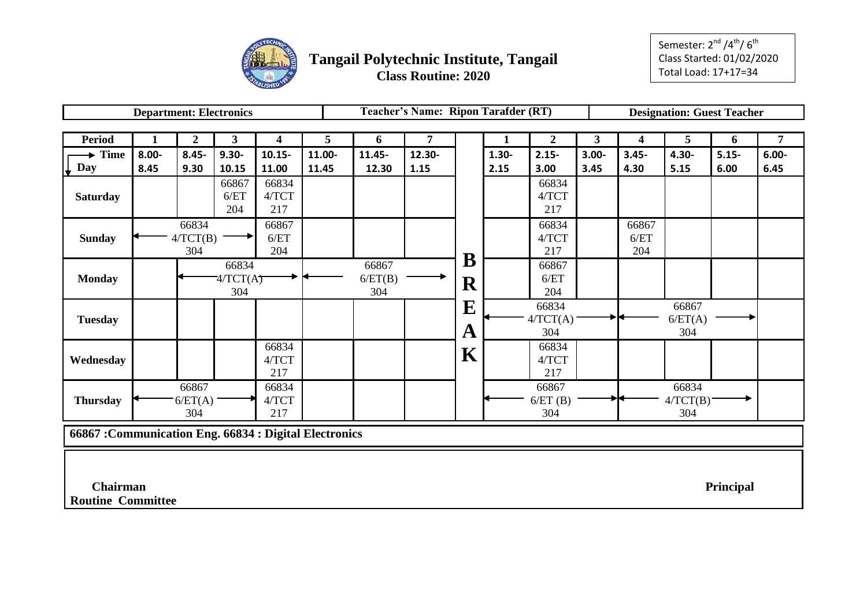

|                                                      |          |                | <b>Department: Electronics</b> |                         |        |         | Teacher's Name: Ripon Tarafder (RT) |             |          |                |              |                         | <b>Designation: Guest Teacher</b> |           |                |
|------------------------------------------------------|----------|----------------|--------------------------------|-------------------------|--------|---------|-------------------------------------|-------------|----------|----------------|--------------|-------------------------|-----------------------------------|-----------|----------------|
|                                                      |          |                |                                |                         |        |         |                                     |             |          |                |              |                         |                                   |           |                |
| <b>Period</b>                                        | 1        | $\overline{2}$ | $\mathbf{3}$                   | $\overline{\mathbf{4}}$ | 5      | 6       | 7                                   |             | 1        | $\overline{2}$ | $\mathbf{3}$ | $\overline{\mathbf{4}}$ | 5                                 | 6         | $\overline{7}$ |
| <b>Time</b>                                          | $8.00 -$ | $8.45 -$       | $9.30 -$                       | $10.15 -$               | 11.00- | 11.45-  | 12.30-                              |             | $1.30 -$ | $2.15 -$       | $3.00 -$     | $3.45 -$                | 4.30-                             | $5.15 -$  | $6.00 -$       |
| Day<br>₩                                             | 8.45     | 9.30           | 10.15                          | 11.00                   | 11.45  | 12.30   | 1.15                                |             | 2.15     | 3.00           | 3.45         | 4.30                    | 5.15                              | 6.00      | 6.45           |
|                                                      |          |                | 66867                          | 66834                   |        |         |                                     |             |          | 66834          |              |                         |                                   |           |                |
| <b>Saturday</b>                                      |          |                | 6/ET                           | 4/TCT                   |        |         |                                     |             |          | 4/TCT          |              |                         |                                   |           |                |
|                                                      |          |                | 204                            | 217                     |        |         |                                     |             |          | 217            |              |                         |                                   |           |                |
|                                                      |          | 66834          |                                | 66867                   |        |         |                                     |             |          | 66834          |              | 66867                   |                                   |           |                |
| <b>Sunday</b>                                        |          | 4/TCT(B)       |                                | 6/ET                    |        |         |                                     |             |          | 4/TCT          |              | 6/ET                    |                                   |           |                |
|                                                      |          | 304            |                                | 204                     |        |         |                                     |             |          | 217            |              | 204                     |                                   |           |                |
|                                                      |          |                | 66834                          |                         |        | 66867   |                                     | $\mathbf B$ |          | 66867          |              |                         |                                   |           |                |
| <b>Monday</b>                                        |          |                | 74/TCT(A)                      |                         |        | 6/ET(B) |                                     | ${\bf R}$   |          | 6/ET           |              |                         |                                   |           |                |
|                                                      |          |                | 304                            |                         |        | 304     |                                     |             |          | 204            |              |                         |                                   |           |                |
|                                                      |          |                |                                |                         |        |         |                                     | $\mathbf E$ |          | 66834          |              |                         | 66867                             |           |                |
| <b>Tuesday</b>                                       |          |                |                                |                         |        |         |                                     |             |          | 4/TCT(A)       |              |                         | 6/ET(A)                           |           |                |
|                                                      |          |                |                                |                         |        |         |                                     | A           |          | 304            |              |                         | 304                               |           |                |
|                                                      |          |                |                                | 66834                   |        |         |                                     |             |          | 66834          |              |                         |                                   |           |                |
| Wednesday                                            |          |                |                                | $4/TCT$                 |        |         |                                     | K           |          | 4/TCT          |              |                         |                                   |           |                |
|                                                      |          |                |                                | 217                     |        |         |                                     |             |          | 217            |              |                         |                                   |           |                |
|                                                      |          | 66867          |                                | 66834                   |        |         |                                     |             |          | 66867          |              |                         | 66834                             |           |                |
| <b>Thursday</b>                                      |          | 6/ET(A)        |                                | 4/TCT                   |        |         |                                     |             |          | 6/ET(B)        |              |                         | 4/TCT(B)                          |           |                |
|                                                      |          | 304            |                                | 217                     |        |         |                                     |             |          | 304            |              |                         | 304                               |           |                |
| 66867: Communication Eng. 66834: Digital Electronics |          |                |                                |                         |        |         |                                     |             |          |                |              |                         |                                   |           |                |
|                                                      |          |                |                                |                         |        |         |                                     |             |          |                |              |                         |                                   |           |                |
|                                                      |          |                |                                |                         |        |         |                                     |             |          |                |              |                         |                                   |           |                |
| Chairman                                             |          |                |                                |                         |        |         |                                     |             |          |                |              |                         |                                   | Principal |                |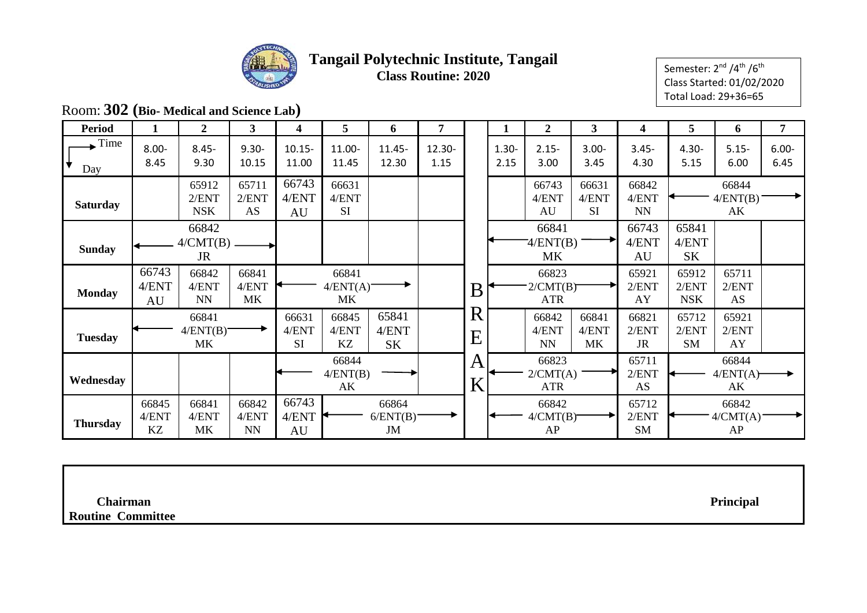

Semester:  $2^{nd}$  /4<sup>th</sup> /6<sup>th</sup> Class Started: 01/02/2020 Total Load: 29+36=65

## Room: **302 (Bio- Medical and Science Lab)**

| <b>Period</b>   |                      | $\mathbf{2}$                   | 3                           | 4                           | 5                              | 6                           | 7              |                                        |                  | 2                               | 3                           | 4                           | 5                            | 6                       | 7                |
|-----------------|----------------------|--------------------------------|-----------------------------|-----------------------------|--------------------------------|-----------------------------|----------------|----------------------------------------|------------------|---------------------------------|-----------------------------|-----------------------------|------------------------------|-------------------------|------------------|
| Time.<br>Day    | $8.00 -$<br>8.45     | $8.45 -$<br>9.30               | $9.30 -$<br>10.15           | $10.15 -$<br>11.00          | 11.00-<br>11.45                | $11.45 -$<br>12.30          | 12.30-<br>1.15 |                                        | $1.30 -$<br>2.15 | $2.15 -$<br>3.00                | $3.00 -$<br>3.45            | $3.45 -$<br>4.30            | $4.30 -$<br>5.15             | $5.15 -$<br>6.00        | $6.00 -$<br>6.45 |
| <b>Saturday</b> |                      | 65912<br>2/ENT<br><b>NSK</b>   | 65711<br>2/ENT<br>AS        | 66743<br>4/ENT<br>AU        | 66631<br>4/ENT<br><b>SI</b>    |                             |                |                                        |                  | 66743<br>4/ENT<br>AU            | 66631<br>4/ENT<br><b>SI</b> | 66842<br>4/ENT<br><b>NN</b> |                              | 66844<br>4/ENT(B)<br>AK |                  |
| <b>Sunday</b>   |                      | 66842<br>4/CMT(B)<br><b>JR</b> |                             |                             |                                |                             |                |                                        |                  | 66841<br>4/ENT(B)<br><b>MK</b>  |                             | 66743<br>4/ENT<br>AU        | 65841<br>4/ENT<br><b>SK</b>  |                         |                  |
| <b>Monday</b>   | 66743<br>4/ENT<br>AU | 66842<br>4/ENT<br><b>NN</b>    | 66841<br>4/ENT<br><b>MK</b> |                             | 66841<br>4/ENT(A)<br><b>MK</b> |                             |                | B                                      |                  | 66823<br>2/CMT(B)<br><b>ATR</b> |                             | 65921<br>2/ENT<br>AY        | 65912<br>2/ENT<br><b>NSK</b> | 65711<br>2/ENT<br>AS    |                  |
| <b>Tuesday</b>  |                      | 66841<br>4/ENT(B)<br>MK        |                             | 66631<br>4/ENT<br><b>SI</b> | 66845<br>4/ENT<br>KZ           | 65841<br>4/ENT<br><b>SK</b> |                | $\mathbf R$<br>$\overline{\mathrm{E}}$ |                  | 66842<br>4/ENT<br>NN            | 66841<br>4/ENT<br><b>MK</b> | 66821<br>2/ENT<br><b>JR</b> | 65712<br>2/ENT<br><b>SM</b>  | 65921<br>2/ENT<br>AY    |                  |
| Wednesday       |                      |                                |                             |                             | 66844<br>4/ENT(B)<br>AK        |                             |                | A<br>K                                 |                  | 66823<br>2/CMT(A)<br><b>ATR</b> |                             | 65711<br>2/ENT<br>AS        |                              | 66844<br>4/ENT(A)<br>AK |                  |
| <b>Thursday</b> | 66845<br>4/ENT<br>KZ | 66841<br>4/ENT<br>MK           | 66842<br>4/ENT<br><b>NN</b> | 66743<br>4/ENT<br>AU        |                                | 66864<br>6/ENT(B)<br>JM     |                |                                        |                  | 66842<br>4/CMT(B)<br>AP         |                             | 65712<br>2/ENT<br><b>SM</b> |                              | 66842<br>4/CMT(A)<br>AP |                  |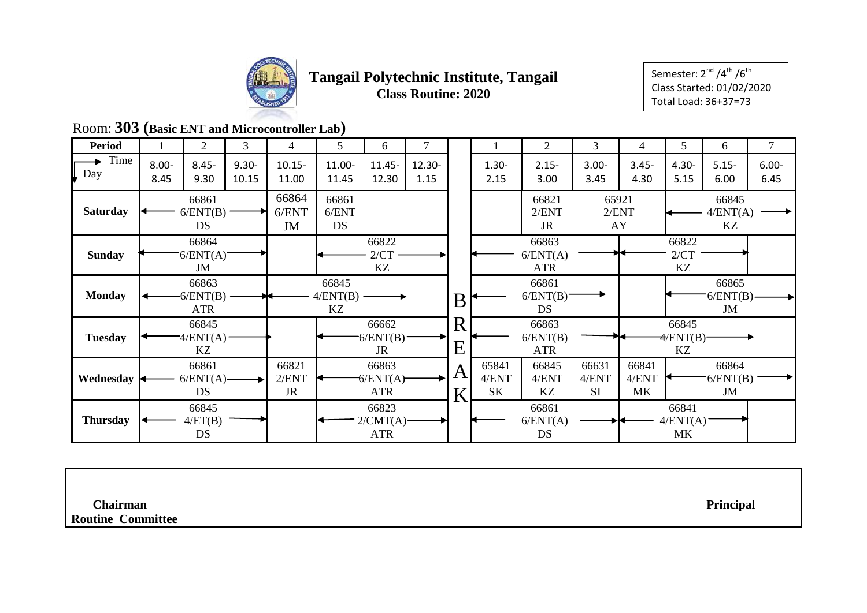

Semester:  $2^{nd}$  /4<sup>th</sup> /6<sup>th</sup> Class Started: 01/02/2020 Total Load: 36+37=73

## Room: **303 (Basic ENT and Microcontroller Lab)**

| <b>Period</b>   |                  | 2                              | 3                 | 4                           | 5                           | 6                               |                |              |                      | 2                                      | 3                           | 4                    | 5                            | 6                           | $\overline{7}$   |
|-----------------|------------------|--------------------------------|-------------------|-----------------------------|-----------------------------|---------------------------------|----------------|--------------|----------------------|----------------------------------------|-----------------------------|----------------------|------------------------------|-----------------------------|------------------|
| Time<br>Day     | $8.00 -$<br>8.45 | $8.45 -$<br>9.30               | $9.30 -$<br>10.15 | $10.15 -$<br>11.00          | 11.00-<br>11.45             | $11.45 -$<br>12.30              | 12.30-<br>1.15 |              | $1.30 -$<br>2.15     | $2.15 -$<br>3.00                       | $3.00 -$<br>3.45            | $3.45 -$<br>4.30     | $4.30 -$<br>5.15             | $5.15 -$<br>6.00            | $6.00 -$<br>6.45 |
| <b>Saturday</b> |                  | 66861<br>6/ENT(B)<br><b>DS</b> |                   | 66864<br>6/ENT<br>JM        | 66861<br>6/ENT<br><b>DS</b> |                                 |                |              |                      | 66821<br>2/ENT<br>JR                   |                             | 65921<br>2/ENT<br>AY |                              | 66845<br>4/ENT(A)<br>KZ     |                  |
| <b>Sunday</b>   |                  | 66864<br>6/ENT(A)<br>JM        |                   |                             |                             | 66822<br>2/CT<br>KZ             |                |              |                      | 66863<br>6/ENT(A)<br><b>ATR</b>        |                             |                      | 66822<br>2/CT<br>KZ          |                             |                  |
| <b>Monday</b>   |                  | 66863<br>$-6/ENT(B)$<br>ATR    |                   |                             | 66845<br>4/ENT(B)<br>KZ     |                                 |                | B            |                      | 66861<br>$6/ENT(B)$ <sup>-</sup><br>DS |                             |                      |                              | 66865<br>$6/ENT(B)$ -<br>JM |                  |
| <b>Tuesday</b>  |                  | 66845<br>$4/ENT(A)$ -<br>KZ    |                   |                             |                             | 66662<br>6/ENT(B)<br><b>JR</b>  |                | R<br>$\rm E$ |                      | 66863<br>6/ENT(B)<br><b>ATR</b>        |                             |                      | 66845<br>$\sqrt{P(X)}$<br>KZ |                             |                  |
| Wednesday       |                  | 66861<br>$6/ENT(A)$ -<br>DS    |                   | 66821<br>2/ENT<br><b>JR</b> |                             | 66863<br>6/ENT(A)<br><b>ATR</b> |                | A<br>K       | 65841<br>4/ENT<br>SK | 66845<br>4/ENT<br>KZ                   | 66631<br>4/ENT<br><b>SI</b> | 66841<br>4/ENT<br>MK |                              | 66864<br>6/ENT(B)<br>JM     |                  |
| <b>Thursday</b> |                  | 66845<br>4/ET(B)<br><b>DS</b>  |                   |                             |                             | 66823<br>2/CMT(A)<br><b>ATR</b> |                |              |                      | 66861<br>6/ENT(A)<br>DS                |                             |                      | 66841<br>4/ENT(A)<br>MK      |                             |                  |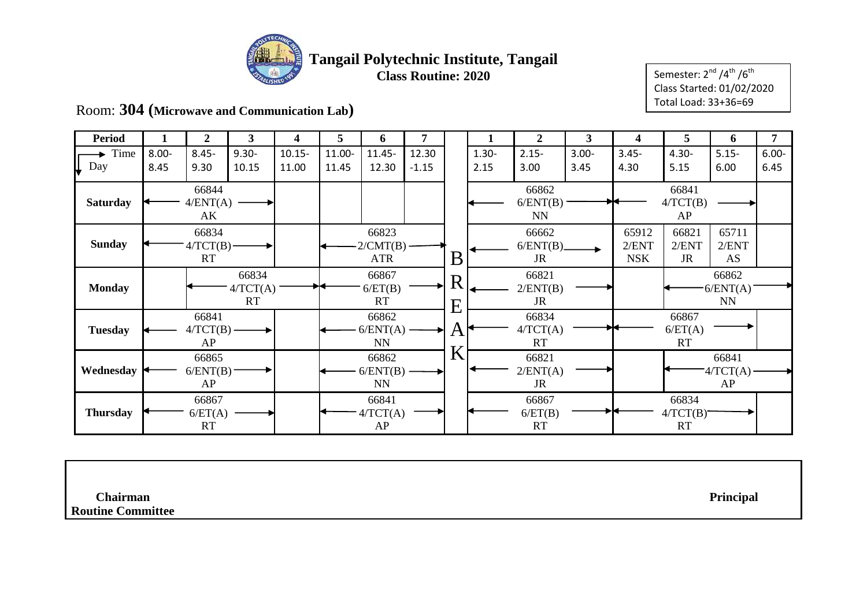

Semester:  $2^{nd} / 4^{th} / 6^{th}$ Class Started: 01/02/2020 Total Load: 33+36=69

Room: **304 (Microwave and Communication Lab)**

| <b>Period</b>   | 1                | $\overline{2}$              | $\overline{\mathbf{3}}$ | 4                  | 5               | 6                              | 7                |        |                  | $\overline{2}$                 | 3                | $\overline{\mathbf{4}}$      | 5                             | 6                              | 7                |
|-----------------|------------------|-----------------------------|-------------------------|--------------------|-----------------|--------------------------------|------------------|--------|------------------|--------------------------------|------------------|------------------------------|-------------------------------|--------------------------------|------------------|
| Time<br>Day     | $8.00 -$<br>8.45 | $8.45 -$<br>9.30            | $9.30 -$<br>10.15       | $10.15 -$<br>11.00 | 11.00-<br>11.45 | $11.45 -$<br>12.30             | 12.30<br>$-1.15$ |        | $1.30 -$<br>2.15 | $2.15 -$<br>3.00               | $3.00 -$<br>3.45 | $3.45 -$<br>4.30             | $4.30 -$<br>5.15              | $5.15 -$<br>6.00               | $6.00 -$<br>6.45 |
| <b>Saturday</b> |                  | 66844<br>4/ENT(A)<br>AK     |                         |                    |                 |                                |                  |        |                  | 66862<br>6/ENT(B)<br><b>NN</b> |                  |                              | 66841<br>4/TCT(B)<br>AP       |                                |                  |
| <b>Sunday</b>   |                  | 66834<br>$4/TCT(B)$ -<br>RT |                         |                    |                 | 66823<br>$-2/CMT(B)$<br>ATR    |                  | B'     |                  | 66662<br>6/ENT(B)<br>JR        |                  | 65912<br>2/ENT<br><b>NSK</b> | 66821<br>2/ENT<br>JR          | 65711<br>2/ENT<br>AS           |                  |
| <b>Monday</b>   |                  |                             | 66834<br>4/TCT(A)<br>RT |                    |                 | 66867<br>6/ET(B)<br>RT         |                  | R<br>E |                  | 66821<br>2/ENT(B)<br><b>JR</b> |                  |                              |                               | 66862<br>6/ENT(A)<br><b>NN</b> |                  |
| <b>Tuesday</b>  |                  | 66841<br>$4/TCT(B)$ –<br>AP |                         |                    |                 | 66862<br>6/ENT(A)<br><b>NN</b> |                  | Α      |                  | 66834<br>4/TCT(A)<br><b>RT</b> |                  |                              | 66867<br>6/ET(A)<br><b>RT</b> |                                |                  |
| Wednesday       |                  | 66865<br>6/ENT(B)<br>AP     |                         |                    |                 | 66862<br>6/ENT(B)<br><b>NN</b> |                  | K      |                  | 66821<br>2/ENT(A)<br><b>JR</b> |                  |                              |                               | 66841<br>T4/TCT(A)<br>AP       |                  |
| <b>Thursday</b> |                  | 66867<br>6/ET(A)<br>RT      |                         |                    |                 | 66841<br>4/TCT(A)<br>AP        |                  |        |                  | 66867<br>6/ET(B)<br><b>RT</b>  |                  |                              | 66834<br>4/TCT(B)<br>RT       |                                |                  |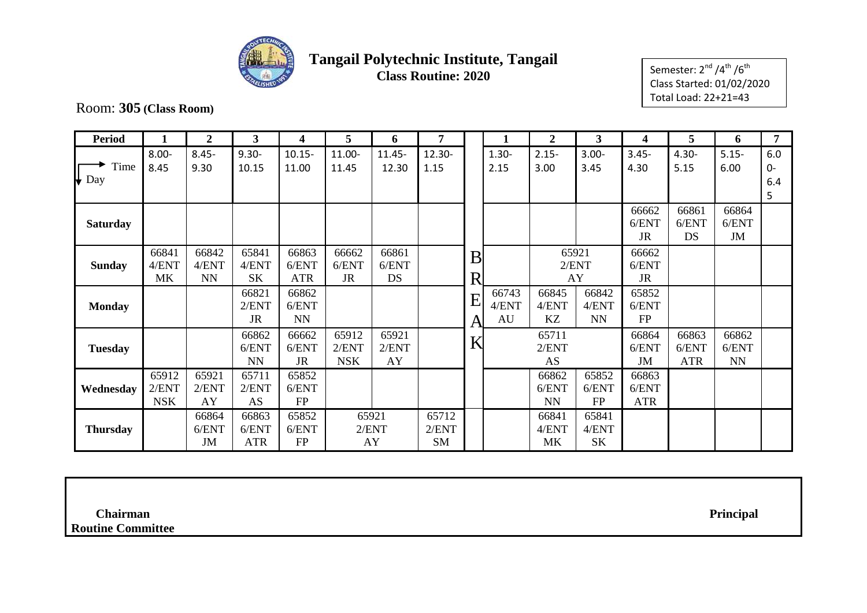

Semester:  $2^{nd}$  /4<sup>th</sup> /6<sup>th</sup> Class Started: 01/02/2020 Total Load: 22+21=43

Room: **305 (Class Room)**

| <b>Period</b>         |                              | $\overline{2}$              | 3                            | 4                            | 5                            | 6                           | 7                           |                     |                      | $\overline{2}$              | 3                           | 4                            | 5                            | 6                                         | 7                       |
|-----------------------|------------------------------|-----------------------------|------------------------------|------------------------------|------------------------------|-----------------------------|-----------------------------|---------------------|----------------------|-----------------------------|-----------------------------|------------------------------|------------------------------|-------------------------------------------|-------------------------|
| Time<br>$\bigvee$ Day | $8.00 -$<br>8.45             | $8.45 -$<br>9.30            | $9.30 -$<br>10.15            | $10.15 -$<br>11.00           | 11.00-<br>11.45              | $11.45 -$<br>12.30          | 12.30-<br>1.15              |                     | $1.30 -$<br>2.15     | $2.15 -$<br>3.00            | $3.00 -$<br>3.45            | $3.45 -$<br>4.30             | $4.30 -$<br>5.15             | $5.15 -$<br>6.00                          | 6.0<br>$0-$<br>6.4<br>5 |
| <b>Saturday</b>       |                              |                             |                              |                              |                              |                             |                             |                     |                      |                             |                             | 66662<br>6/ENT<br><b>JR</b>  | 66861<br>6/ENT<br>DS         | 66864<br>6/ENT<br>JM                      |                         |
| <b>Sunday</b>         | 66841<br>4/ENT<br>MK         | 66842<br>4/ENT<br><b>NN</b> | 65841<br>4/ENT<br><b>SK</b>  | 66863<br>6/ENT<br><b>ATR</b> | 66662<br>6/ENT<br><b>JR</b>  | 66861<br>6/ENT<br><b>DS</b> |                             | B<br>R <sub>1</sub> |                      |                             | 65921<br>2/ENT<br>AY        | 66662<br>6/ENT<br><b>JR</b>  |                              |                                           |                         |
| <b>Monday</b>         |                              |                             | 66821<br>2/ENT<br><b>JR</b>  | 66862<br>6/ENT<br><b>NN</b>  |                              |                             |                             | E<br>A              | 66743<br>4/ENT<br>AU | 66845<br>4/ENT<br>KZ        | 66842<br>4/ENT<br><b>NN</b> | 65852<br>6/ENT<br><b>FP</b>  |                              |                                           |                         |
| <b>Tuesday</b>        |                              |                             | 66862<br>6/ENT<br><b>NN</b>  | 66662<br>6/ENT<br><b>JR</b>  | 65912<br>2/ENT<br><b>NSK</b> | 65921<br>2/ENT<br>AY        |                             | K                   |                      | 65711<br>2/ENT<br><b>AS</b> |                             | 66864<br>6/ENT<br><b>JM</b>  | 66863<br>6/ENT<br><b>ATR</b> | 66862<br>6/ENT<br>$\mathbf{N} \mathbf{N}$ |                         |
| Wednesday             | 65912<br>2/ENT<br><b>NSK</b> | 65921<br>2/ENT<br>AY        | 65711<br>2/ENT<br>AS         | 65852<br>6/ENT<br>FP         |                              |                             |                             |                     |                      | 66862<br>6/ENT<br><b>NN</b> | 65852<br>6/ENT<br><b>FP</b> | 66863<br>6/ENT<br><b>ATR</b> |                              |                                           |                         |
| <b>Thursday</b>       |                              | 66864<br>6/ENT<br>JM        | 66863<br>6/ENT<br><b>ATR</b> | 65852<br>6/ENT<br><b>FP</b>  |                              | 65921<br>2/ENT<br>AY        | 65712<br>2/ENT<br><b>SM</b> |                     |                      | 66841<br>4/ENT<br><b>MK</b> | 65841<br>4/ENT<br><b>SK</b> |                              |                              |                                           |                         |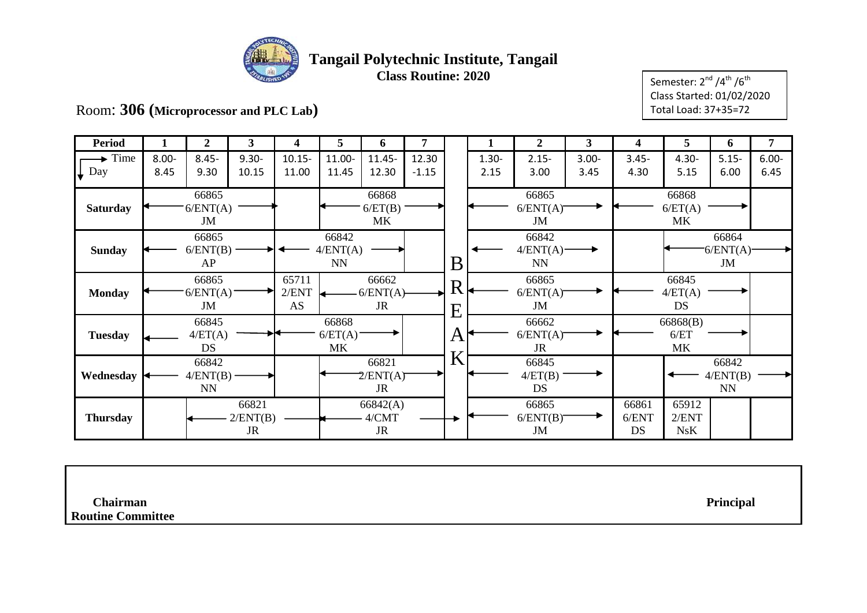

Semester:  $2^{nd}$  /4<sup>th</sup> /6<sup>th</sup> Class Started: 01/02/2020 Total Load: 37+35=72

Room: **306 (Microprocessor and PLC Lab)**

| <b>Period</b>    | 1                                       | $\overline{2}$ | 3         | 4              | 5                       | 6                    | 7       |          | 1        | $\boldsymbol{2}$  | 3        | 4        | 5                    | 6                 | 7        |
|------------------|-----------------------------------------|----------------|-----------|----------------|-------------------------|----------------------|---------|----------|----------|-------------------|----------|----------|----------------------|-------------------|----------|
| Time             | $8.00 -$                                | $8.45 -$       | $9.30 -$  | $10.15 -$      | 11.00-                  | 11.45-               | 12.30   |          | $1.30 -$ | $2.15 -$          | $3.00 -$ | $3.45 -$ | $4.30 -$             | $5.15 -$          | $6.00 -$ |
| $\downarrow$ Day | 8.45                                    | 9.30           | 10.15     | 11.00          | 11.45                   | 12.30                | $-1.15$ |          | 2.15     | 3.00              | 3.45     | 4.30     | 5.15                 | 6.00              | 6.45     |
|                  |                                         | 66865          |           |                |                         | 66868                |         |          |          | 66865             |          |          | 66868                |                   |          |
| <b>Saturday</b>  |                                         | 6/ENT(A)<br>JM |           |                |                         | 6/ET(B)<br><b>MK</b> |         |          |          | 6/ENT(A)<br>JM    |          |          | 6/ET(A)<br><b>MK</b> |                   |          |
|                  |                                         | 66865          |           |                | 66842                   |                      |         |          |          | 66842             |          |          |                      | 66864             |          |
| <b>Sunday</b>    |                                         | 6/ENT(B)       |           |                | 4/ENT(A)                |                      |         |          |          | $4/ENT(A)$ -      |          |          |                      | 6/ENT(A)          |          |
|                  | AP<br>66865                             |                |           |                | $\mathbf{N} \mathbf{N}$ |                      |         | $\bf{B}$ |          | <b>NN</b>         |          |          |                      | JM                |          |
| <b>Monday</b>    | 6/ENT(A)                                |                |           | 65711<br>2/ENT |                         | 66662<br>$-6/ENT(A)$ |         | R        |          | 66865<br>6/ENT(A) |          |          | 66845<br>4/ET(A)     |                   |          |
|                  | JM                                      |                |           | AS             |                         | <b>JR</b>            |         | Ε        |          | JM                |          |          | DS                   |                   |          |
|                  |                                         | 66845          |           |                | 66868                   |                      |         |          |          | 66662             |          |          | 66868(B)             |                   |          |
| <b>Tuesday</b>   |                                         | 4/ET(A)        |           |                | 6/ET(A)                 |                      |         | A        |          | 6/ENT(A)          |          |          | 6/ET                 |                   |          |
|                  |                                         | <b>DS</b>      |           |                | <b>MK</b>               |                      |         | V        |          | JR                |          |          | <b>MK</b>            |                   |          |
| Wednesday        |                                         | 66842          |           |                |                         | 66821<br>2/ENT(A)    |         |          |          | 66845<br>4/ET(B)  |          |          |                      | 66842<br>4/ENT(B) |          |
|                  | $4/ENT(B)$ -<br>$\mathbf{N} \mathbf{N}$ |                |           |                |                         | JR                   |         |          |          | DS                |          |          |                      | <b>NN</b>         |          |
|                  | 66821                                   |                |           |                |                         | 66842(A)             |         |          |          | 66865             |          | 66861    | 65912                |                   |          |
| <b>Thursday</b>  |                                         |                | 2/ENT(B)  |                |                         | 4/CMT                |         |          |          | 6/ENT(B)          |          | 6/ENT    | 2/ENT                |                   |          |
|                  |                                         |                | <b>JR</b> |                |                         | JR                   |         |          |          | JM                |          | DS       | NsK                  |                   |          |